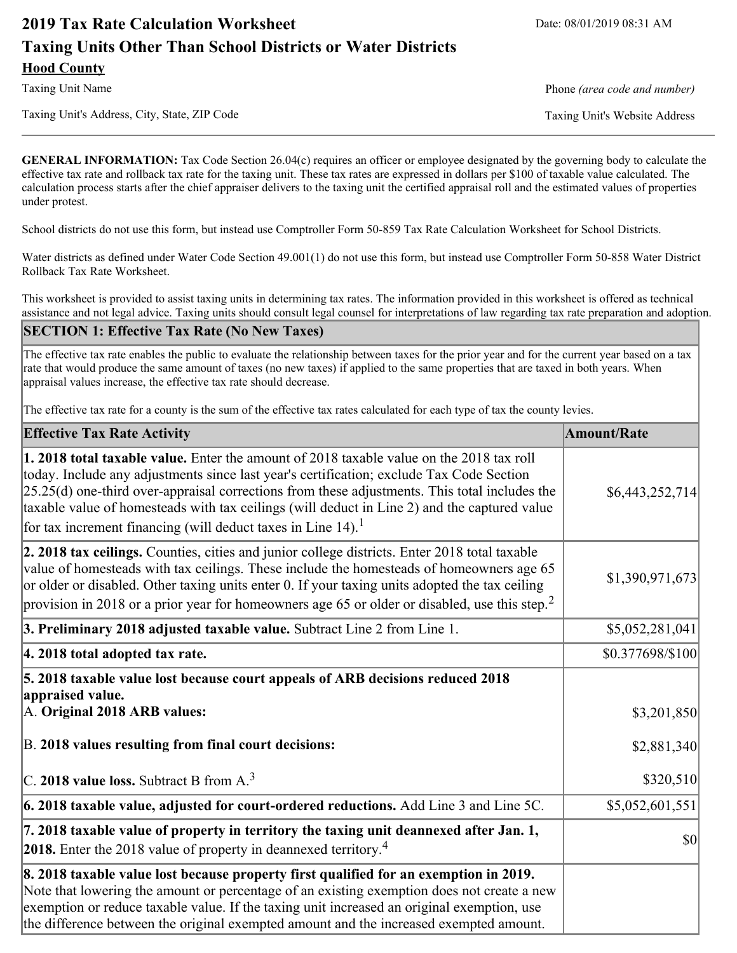# **2019 Tax Rate Calculation Worksheet** Date: 08/01/2019 08:31 AM **Taxing Units Other Than School Districts or Water Districts Hood County**

Taxing Unit's Address, City, State, ZIP Code Taxing Unit's Website Address

Taxing Unit Name **Phone** *(area code and number)* Phone *(area code and number)* 

**GENERAL INFORMATION:** Tax Code Section 26.04(c) requires an officer or employee designated by the governing body to calculate the effective tax rate and rollback tax rate for the taxing unit. These tax rates are expressed in dollars per \$100 of taxable value calculated. The calculation process starts after the chief appraiser delivers to the taxing unit the certified appraisal roll and the estimated values of properties under protest.

School districts do not use this form, but instead use Comptroller Form 50-859 Tax Rate Calculation Worksheet for School Districts.

Water districts as defined under Water Code Section 49.001(1) do not use this form, but instead use Comptroller Form 50-858 Water District Rollback Tax Rate Worksheet.

This worksheet is provided to assist taxing units in determining tax rates. The information provided in this worksheet is offered as technical assistance and not legal advice. Taxing units should consult legal counsel for interpretations of law regarding tax rate preparation and adoption.

### **SECTION 1: Effective Tax Rate (No New Taxes)**

The effective tax rate enables the public to evaluate the relationship between taxes for the prior year and for the current year based on a tax rate that would produce the same amount of taxes (no new taxes) if applied to the same properties that are taxed in both years. When appraisal values increase, the effective tax rate should decrease.

The effective tax rate for a county is the sum of the effective tax rates calculated for each type of tax the county levies.

| <b>Effective Tax Rate Activity</b>                                                                                                                                                                                                                                                                                                                                                                                                                                             | <b>Amount/Rate</b> |
|--------------------------------------------------------------------------------------------------------------------------------------------------------------------------------------------------------------------------------------------------------------------------------------------------------------------------------------------------------------------------------------------------------------------------------------------------------------------------------|--------------------|
| <b>1. 2018 total taxable value.</b> Enter the amount of 2018 taxable value on the 2018 tax roll<br>today. Include any adjustments since last year's certification; exclude Tax Code Section<br>$[25.25(d)$ one-third over-appraisal corrections from these adjustments. This total includes the<br>taxable value of homesteads with tax ceilings (will deduct in Line 2) and the captured value<br>for tax increment financing (will deduct taxes in Line $14$ ). <sup>1</sup> | \$6,443,252,714]   |
| 2. 2018 tax ceilings. Counties, cities and junior college districts. Enter 2018 total taxable<br>value of homesteads with tax ceilings. These include the homesteads of homeowners age 65<br>or older or disabled. Other taxing units enter 0. If your taxing units adopted the tax ceiling<br>provision in 2018 or a prior year for homeowners age 65 or older or disabled, use this step. <sup>2</sup>                                                                       | \$1,390,971,673    |
| 3. Preliminary 2018 adjusted taxable value. Subtract Line 2 from Line 1.                                                                                                                                                                                                                                                                                                                                                                                                       | \$5,052,281,041    |
| 4. 2018 total adopted tax rate.                                                                                                                                                                                                                                                                                                                                                                                                                                                | \$0.377698/\$100   |
| 5. 2018 taxable value lost because court appeals of ARB decisions reduced 2018<br>appraised value.<br>A. Original 2018 ARB values:                                                                                                                                                                                                                                                                                                                                             | \$3,201,850        |
| B. 2018 values resulting from final court decisions:                                                                                                                                                                                                                                                                                                                                                                                                                           | \$2,881,340        |
| C. 2018 value loss. Subtract B from $A3$                                                                                                                                                                                                                                                                                                                                                                                                                                       | \$320,510          |
| $\vert$ 6. 2018 taxable value, adjusted for court-ordered reductions. Add Line 3 and Line 5C.                                                                                                                                                                                                                                                                                                                                                                                  | \$5,052,601,551    |
| 7. 2018 taxable value of property in territory the taxing unit deannexed after Jan. 1,<br><b>2018.</b> Enter the 2018 value of property in deannexed territory. <sup>4</sup>                                                                                                                                                                                                                                                                                                   | $ 10\rangle$       |
| 8. 2018 taxable value lost because property first qualified for an exemption in 2019.<br>Note that lowering the amount or percentage of an existing exemption does not create a new<br>exemption or reduce taxable value. If the taxing unit increased an original exemption, use<br>the difference between the original exempted amount and the increased exempted amount.                                                                                                    |                    |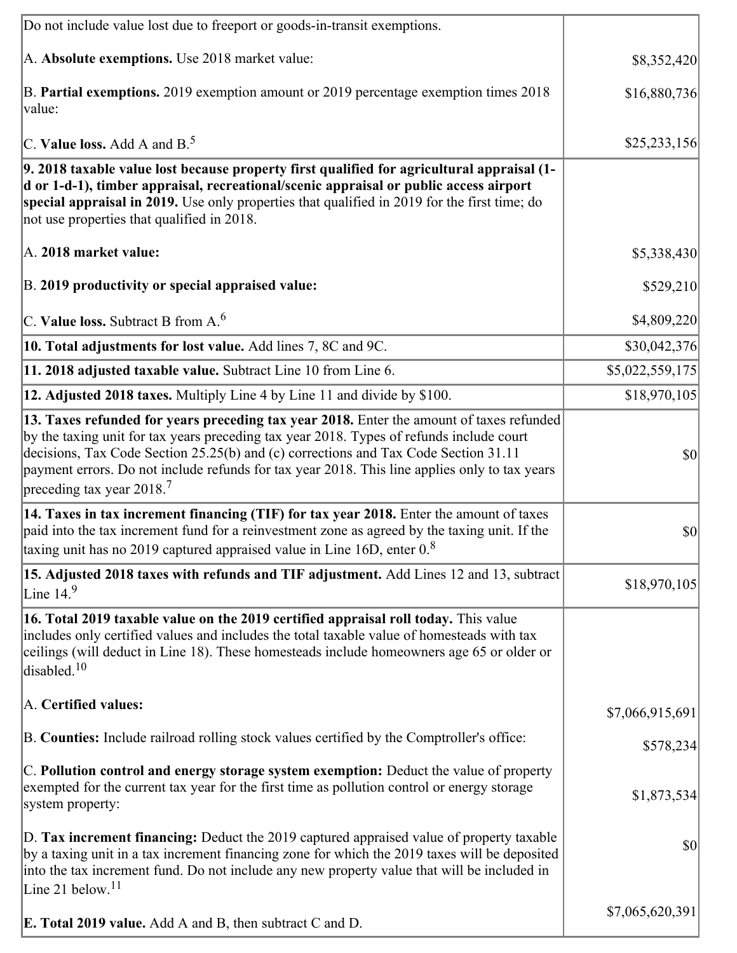| Do not include value lost due to freeport or goods-in-transit exemptions.                                                                                                                                                                                                                                                                                                                                              |                 |
|------------------------------------------------------------------------------------------------------------------------------------------------------------------------------------------------------------------------------------------------------------------------------------------------------------------------------------------------------------------------------------------------------------------------|-----------------|
| A. Absolute exemptions. Use 2018 market value:                                                                                                                                                                                                                                                                                                                                                                         | \$8,352,420     |
| B. Partial exemptions. 2019 exemption amount or 2019 percentage exemption times 2018<br>value:                                                                                                                                                                                                                                                                                                                         | \$16,880,736    |
| C. Value loss. Add A and $B^5$ .                                                                                                                                                                                                                                                                                                                                                                                       | \$25,233,156    |
| 9. 2018 taxable value lost because property first qualified for agricultural appraisal (1-<br>d or 1-d-1), timber appraisal, recreational/scenic appraisal or public access airport<br>special appraisal in 2019. Use only properties that qualified in 2019 for the first time; do<br>not use properties that qualified in 2018.                                                                                      |                 |
| A. 2018 market value:                                                                                                                                                                                                                                                                                                                                                                                                  | \$5,338,430     |
| B. 2019 productivity or special appraised value:                                                                                                                                                                                                                                                                                                                                                                       | \$529,210       |
| $ C$ . Value loss. Subtract B from A. $^6$                                                                                                                                                                                                                                                                                                                                                                             | \$4,809,220     |
| 10. Total adjustments for lost value. Add lines 7, 8C and 9C.                                                                                                                                                                                                                                                                                                                                                          | \$30,042,376    |
| 11. 2018 adjusted taxable value. Subtract Line 10 from Line 6.                                                                                                                                                                                                                                                                                                                                                         | \$5,022,559,175 |
| 12. Adjusted 2018 taxes. Multiply Line 4 by Line 11 and divide by \$100.                                                                                                                                                                                                                                                                                                                                               | \$18,970,105    |
| 13. Taxes refunded for years preceding tax year 2018. Enter the amount of taxes refunded<br>by the taxing unit for tax years preceding tax year 2018. Types of refunds include court<br>decisions, Tax Code Section 25.25(b) and (c) corrections and Tax Code Section 31.11<br>payment errors. Do not include refunds for tax year 2018. This line applies only to tax years<br>preceding tax year $2018$ <sup>7</sup> | $ 10\rangle$    |
| 14. Taxes in tax increment financing (TIF) for tax year 2018. Enter the amount of taxes<br>paid into the tax increment fund for a reinvestment zone as agreed by the taxing unit. If the<br>taxing unit has no 2019 captured appraised value in Line 16D, enter $08$                                                                                                                                                   | $ 10\rangle$    |
| 15. Adjusted 2018 taxes with refunds and TIF adjustment. Add Lines 12 and 13, subtract<br>Line $14.9$                                                                                                                                                                                                                                                                                                                  | \$18,970,105    |
| 16. Total 2019 taxable value on the 2019 certified appraisal roll today. This value<br>includes only certified values and includes the total taxable value of homesteads with tax<br>ceilings (will deduct in Line 18). These homesteads include homeowners age 65 or older or<br>disabled. $10$                                                                                                                       |                 |
| A. Certified values:                                                                                                                                                                                                                                                                                                                                                                                                   | \$7,066,915,691 |
| B. Counties: Include railroad rolling stock values certified by the Comptroller's office:                                                                                                                                                                                                                                                                                                                              | \$578,234       |
| C. Pollution control and energy storage system exemption: Deduct the value of property<br>exempted for the current tax year for the first time as pollution control or energy storage<br>system property:                                                                                                                                                                                                              | \$1,873,534     |
| D. Tax increment financing: Deduct the 2019 captured appraised value of property taxable<br>by a taxing unit in a tax increment financing zone for which the 2019 taxes will be deposited<br>into the tax increment fund. Do not include any new property value that will be included in<br>Line 21 below. $11$                                                                                                        | \$0             |
| <b>E. Total 2019 value.</b> Add A and B, then subtract C and D.                                                                                                                                                                                                                                                                                                                                                        | \$7,065,620,391 |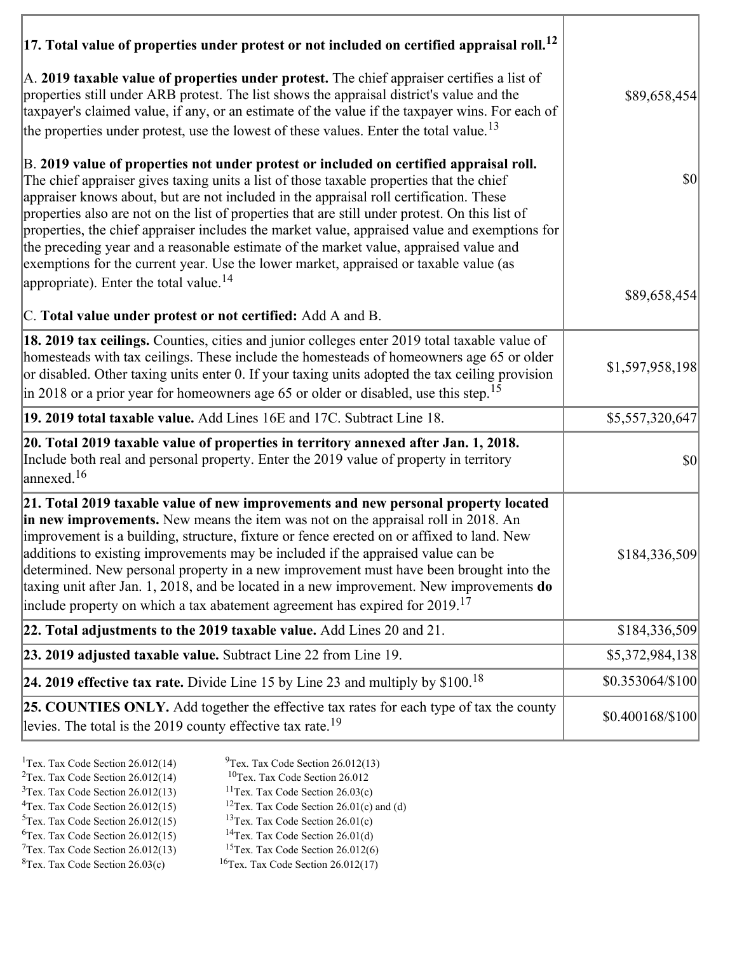| $ 17$ . Total value of properties under protest or not included on certified appraisal roll. <sup>12</sup>                                                                                                                                                                                                                                                                                                                                                                                                                                                                                                                                                         |                  |
|--------------------------------------------------------------------------------------------------------------------------------------------------------------------------------------------------------------------------------------------------------------------------------------------------------------------------------------------------------------------------------------------------------------------------------------------------------------------------------------------------------------------------------------------------------------------------------------------------------------------------------------------------------------------|------------------|
| A. 2019 taxable value of properties under protest. The chief appraiser certifies a list of<br>properties still under ARB protest. The list shows the appraisal district's value and the<br>taxpayer's claimed value, if any, or an estimate of the value if the taxpayer wins. For each of<br>the properties under protest, use the lowest of these values. Enter the total value. <sup>13</sup>                                                                                                                                                                                                                                                                   | \$89,658,454     |
| B. 2019 value of properties not under protest or included on certified appraisal roll.<br>The chief appraiser gives taxing units a list of those taxable properties that the chief<br>appraiser knows about, but are not included in the appraisal roll certification. These<br>properties also are not on the list of properties that are still under protest. On this list of<br>properties, the chief appraiser includes the market value, appraised value and exemptions for<br>the preceding year and a reasonable estimate of the market value, appraised value and<br>exemptions for the current year. Use the lower market, appraised or taxable value (as | $ 10\rangle$     |
| appropriate). Enter the total value. <sup>14</sup>                                                                                                                                                                                                                                                                                                                                                                                                                                                                                                                                                                                                                 | \$89,658,454     |
| C. Total value under protest or not certified: Add A and B.                                                                                                                                                                                                                                                                                                                                                                                                                                                                                                                                                                                                        |                  |
| 18. 2019 tax ceilings. Counties, cities and junior colleges enter 2019 total taxable value of<br>homesteads with tax ceilings. These include the homesteads of homeowners age 65 or older<br>or disabled. Other taxing units enter 0. If your taxing units adopted the tax ceiling provision<br>in 2018 or a prior year for homeowners age 65 or older or disabled, use this step. <sup>15</sup>                                                                                                                                                                                                                                                                   | \$1,597,958,198  |
| 19. 2019 total taxable value. Add Lines 16E and 17C. Subtract Line 18.                                                                                                                                                                                                                                                                                                                                                                                                                                                                                                                                                                                             | \$5,557,320,647  |
| 20. Total 2019 taxable value of properties in territory annexed after Jan. 1, 2018.<br>Include both real and personal property. Enter the 2019 value of property in territory<br>annexed. <sup>16</sup>                                                                                                                                                                                                                                                                                                                                                                                                                                                            | \$0              |
| 21. Total 2019 taxable value of new improvements and new personal property located<br>in new improvements. New means the item was not on the appraisal roll in 2018. An<br>improvement is a building, structure, fixture or fence erected on or affixed to land. New<br>additions to existing improvements may be included if the appraised value can be<br>determined. New personal property in a new improvement must have been brought into the<br>taxing unit after Jan. 1, 2018, and be located in a new improvement. New improvements do<br>include property on which a tax abatement agreement has expired for $2019$ . <sup>17</sup>                       | \$184,336,509    |
| 22. Total adjustments to the 2019 taxable value. Add Lines 20 and 21.                                                                                                                                                                                                                                                                                                                                                                                                                                                                                                                                                                                              | \$184,336,509    |
| 23. 2019 adjusted taxable value. Subtract Line 22 from Line 19.                                                                                                                                                                                                                                                                                                                                                                                                                                                                                                                                                                                                    | \$5,372,984,138  |
| 24. 2019 effective tax rate. Divide Line 15 by Line 23 and multiply by $$100$ . <sup>18</sup>                                                                                                                                                                                                                                                                                                                                                                                                                                                                                                                                                                      | \$0.353064/\$100 |
| <b>25. COUNTIES ONLY.</b> Add together the effective tax rates for each type of tax the county<br>levies. The total is the 2019 county effective tax rate. <sup>19</sup>                                                                                                                                                                                                                                                                                                                                                                                                                                                                                           | \$0.400168/\$100 |

- 
- <sup>1</sup>Tex. Tax Code Section 26.012(14) <sup>9</sup>Tex. Tax Code Section 26.012(13) <sup>9</sup>Tex. Tax Code Section 26.012
- <sup>2</sup>Tex. Tax Code Section 26.012(14) <sup>10</sup>Tex. Tax Code Section 26.012<br><sup>3</sup>Tex. Tax Code Section 26.03(c) <sup>11</sup>Tex. Tax Code Section 26.03(c)
	-
- ${}^{3}$ Tex. Tax Code Section 26.012(13)<br> ${}^{4}$ Tex. Tax Code Section 26.012(15)
- <sup>12</sup>Tex. Tax Code Section 26.01(c) and (d) <sup>13</sup>Tex. Tax Code Section 26.01(c) <sup>5</sup>Tex. Tax Code Section 26.012(15) <sup>13</sup>Tex. Tax Code Section 26.01(c)<br><sup>6</sup>Tex. Tax Code Section 26.012(15) <sup>14</sup>Tex. Tax Code Section 26.01(d)
	-
- <sup>6</sup>Tex. Tax Code Section 26.012(15) <sup>14</sup>Tex. Tax Code Section 26.01(d)<br><sup>7</sup>Tex. Tax Code Section 26.012(13) <sup>15</sup>Tex. Tax Code Section 26.012(6)
- $7$ Tex. Tax Code Section 26.012(13)<br><sup>8</sup>Tex. Tax Code Section 26.03(c)
- 
- 
- $16$ Tex. Tax Code Section 26.012(17)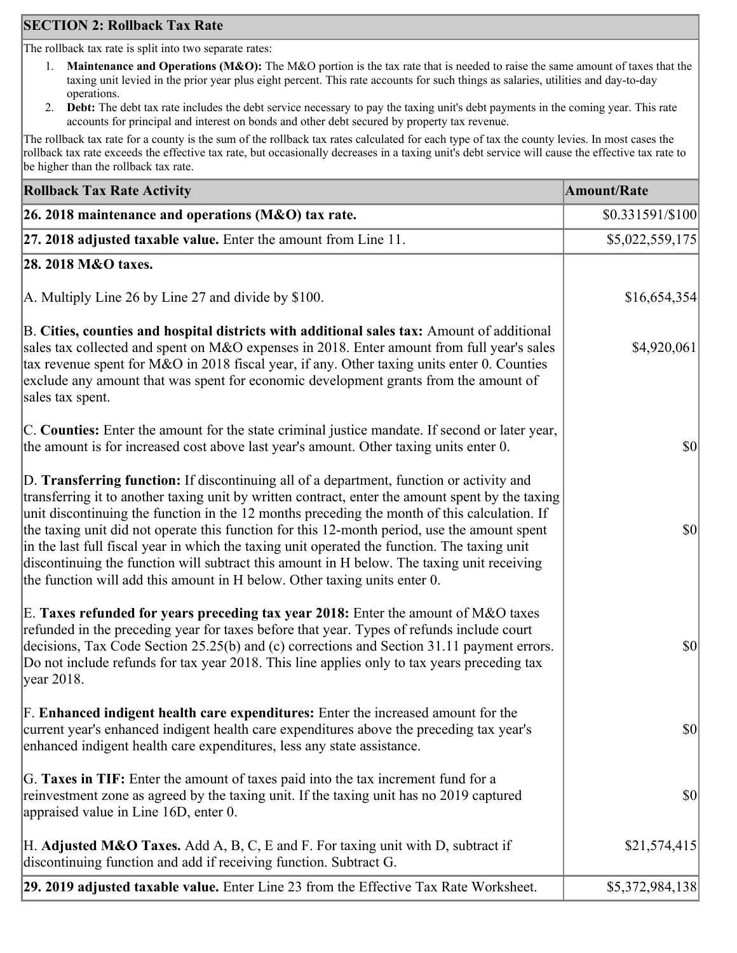### **SECTION 2: Rollback Tax Rate**

The rollback tax rate is split into two separate rates:

- 1. **Maintenance and Operations (M&O):** The M&O portion is the tax rate that is needed to raise the same amount of taxes that the taxing unit levied in the prior year plus eight percent. This rate accounts for such things as salaries, utilities and day-to-day operations.
- 2. **Debt:** The debt tax rate includes the debt service necessary to pay the taxing unit's debt payments in the coming year. This rate accounts for principal and interest on bonds and other debt secured by property tax revenue.

The rollback tax rate for a county is the sum of the rollback tax rates calculated for each type of tax the county levies. In most cases the rollback tax rate exceeds the effective tax rate, but occasionally decreases in a taxing unit's debt service will cause the effective tax rate to be higher than the rollback tax rate.

| <b>Rollback Tax Rate Activity</b>                                                                                                                                                                                                                                                                                                                                                                                                                                                                                                                                                                                                                                       | <b>Amount/Rate</b> |
|-------------------------------------------------------------------------------------------------------------------------------------------------------------------------------------------------------------------------------------------------------------------------------------------------------------------------------------------------------------------------------------------------------------------------------------------------------------------------------------------------------------------------------------------------------------------------------------------------------------------------------------------------------------------------|--------------------|
| 26. 2018 maintenance and operations ( $M&O$ ) tax rate.                                                                                                                                                                                                                                                                                                                                                                                                                                                                                                                                                                                                                 | $$0.331591/\$100$  |
| 27. 2018 adjusted taxable value. Enter the amount from Line 11.                                                                                                                                                                                                                                                                                                                                                                                                                                                                                                                                                                                                         | \$5,022,559,175    |
| 28. 2018 M&O taxes.                                                                                                                                                                                                                                                                                                                                                                                                                                                                                                                                                                                                                                                     |                    |
| A. Multiply Line 26 by Line 27 and divide by \$100.                                                                                                                                                                                                                                                                                                                                                                                                                                                                                                                                                                                                                     | \$16,654,354       |
| B. Cities, counties and hospital districts with additional sales tax: Amount of additional<br>sales tax collected and spent on M&O expenses in 2018. Enter amount from full year's sales<br>tax revenue spent for M&O in 2018 fiscal year, if any. Other taxing units enter 0. Counties<br>exclude any amount that was spent for economic development grants from the amount of<br>sales tax spent.                                                                                                                                                                                                                                                                     | \$4,920,061        |
| C. Counties: Enter the amount for the state criminal justice mandate. If second or later year,<br>the amount is for increased cost above last year's amount. Other taxing units enter 0.                                                                                                                                                                                                                                                                                                                                                                                                                                                                                | $ 10\rangle$       |
| D. Transferring function: If discontinuing all of a department, function or activity and<br>transferring it to another taxing unit by written contract, enter the amount spent by the taxing<br>unit discontinuing the function in the 12 months preceding the month of this calculation. If<br>the taxing unit did not operate this function for this 12-month period, use the amount spent<br>in the last full fiscal year in which the taxing unit operated the function. The taxing unit<br>discontinuing the function will subtract this amount in H below. The taxing unit receiving<br>the function will add this amount in H below. Other taxing units enter 0. | $ 10\rangle$       |
| E. Taxes refunded for years preceding tax year 2018: Enter the amount of M&O taxes<br>refunded in the preceding year for taxes before that year. Types of refunds include court<br>decisions, Tax Code Section 25.25(b) and (c) corrections and Section 31.11 payment errors.<br>Do not include refunds for tax year 2018. This line applies only to tax years preceding tax<br> year 2018.                                                                                                                                                                                                                                                                             | $ 10\rangle$       |
| F. Enhanced indigent health care expenditures: Enter the increased amount for the<br>current year's enhanced indigent health care expenditures above the preceding tax year's<br>enhanced indigent health care expenditures, less any state assistance.                                                                                                                                                                                                                                                                                                                                                                                                                 | $ 10\rangle$       |
| G. Taxes in TIF: Enter the amount of taxes paid into the tax increment fund for a<br>reinvestment zone as agreed by the taxing unit. If the taxing unit has no 2019 captured<br>appraised value in Line 16D, enter 0.                                                                                                                                                                                                                                                                                                                                                                                                                                                   | $ 10\rangle$       |
| H. Adjusted M&O Taxes. Add A, B, C, E and F. For taxing unit with D, subtract if<br>discontinuing function and add if receiving function. Subtract G.                                                                                                                                                                                                                                                                                                                                                                                                                                                                                                                   | \$21,574,415       |
| 29. 2019 adjusted taxable value. Enter Line 23 from the Effective Tax Rate Worksheet.                                                                                                                                                                                                                                                                                                                                                                                                                                                                                                                                                                                   | \$5,372,984,138    |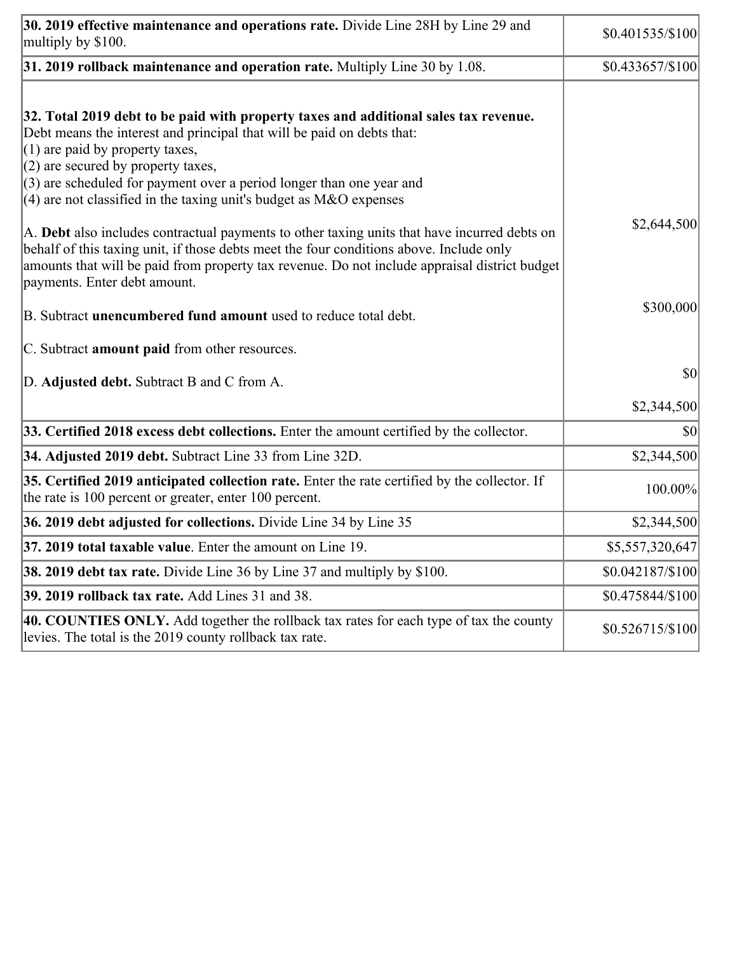| 30. 2019 effective maintenance and operations rate. Divide Line 28H by Line 29 and<br>multiply by \$100.                                                                                                                                                                                                                 | \$0.401535/\$100  |
|--------------------------------------------------------------------------------------------------------------------------------------------------------------------------------------------------------------------------------------------------------------------------------------------------------------------------|-------------------|
| $31.2019$ rollback maintenance and operation rate. Multiply Line 30 by 1.08.                                                                                                                                                                                                                                             | \$0.433657/\$100  |
| 32. Total 2019 debt to be paid with property taxes and additional sales tax revenue.<br>Debt means the interest and principal that will be paid on debts that:<br>$(1)$ are paid by property taxes,<br>$(2)$ are secured by property taxes,<br>$(3)$ are scheduled for payment over a period longer than one year and    |                   |
| $(4)$ are not classified in the taxing unit's budget as M&O expenses                                                                                                                                                                                                                                                     |                   |
| A. Debt also includes contractual payments to other taxing units that have incurred debts on<br>behalf of this taxing unit, if those debts meet the four conditions above. Include only<br>amounts that will be paid from property tax revenue. Do not include appraisal district budget<br>payments. Enter debt amount. | \$2,644,500       |
| B. Subtract unencumbered fund amount used to reduce total debt.                                                                                                                                                                                                                                                          | \$300,000         |
| C. Subtract amount paid from other resources.                                                                                                                                                                                                                                                                            |                   |
| D. Adjusted debt. Subtract B and C from A.                                                                                                                                                                                                                                                                               | \$0               |
|                                                                                                                                                                                                                                                                                                                          | \$2,344,500       |
| 33. Certified 2018 excess debt collections. Enter the amount certified by the collector.                                                                                                                                                                                                                                 | \$0               |
| 34. Adjusted 2019 debt. Subtract Line 33 from Line 32D.                                                                                                                                                                                                                                                                  | \$2,344,500       |
| 35. Certified 2019 anticipated collection rate. Enter the rate certified by the collector. If<br>the rate is 100 percent or greater, enter 100 percent.                                                                                                                                                                  | 100.00%           |
| 36. 2019 debt adjusted for collections. Divide Line 34 by Line 35                                                                                                                                                                                                                                                        | \$2,344,500       |
| 37. 2019 total taxable value. Enter the amount on Line 19.                                                                                                                                                                                                                                                               | \$5,557,320,647   |
| <b>38. 2019 debt tax rate.</b> Divide Line 36 by Line 37 and multiply by \$100.                                                                                                                                                                                                                                          | \$0.042187/\$100  |
| 39. 2019 rollback tax rate. Add Lines 31 and 38.                                                                                                                                                                                                                                                                         | \$0.475844/\$100  |
| 40. COUNTIES ONLY. Add together the rollback tax rates for each type of tax the county<br>levies. The total is the 2019 county rollback tax rate.                                                                                                                                                                        | $$0.526715/\$100$ |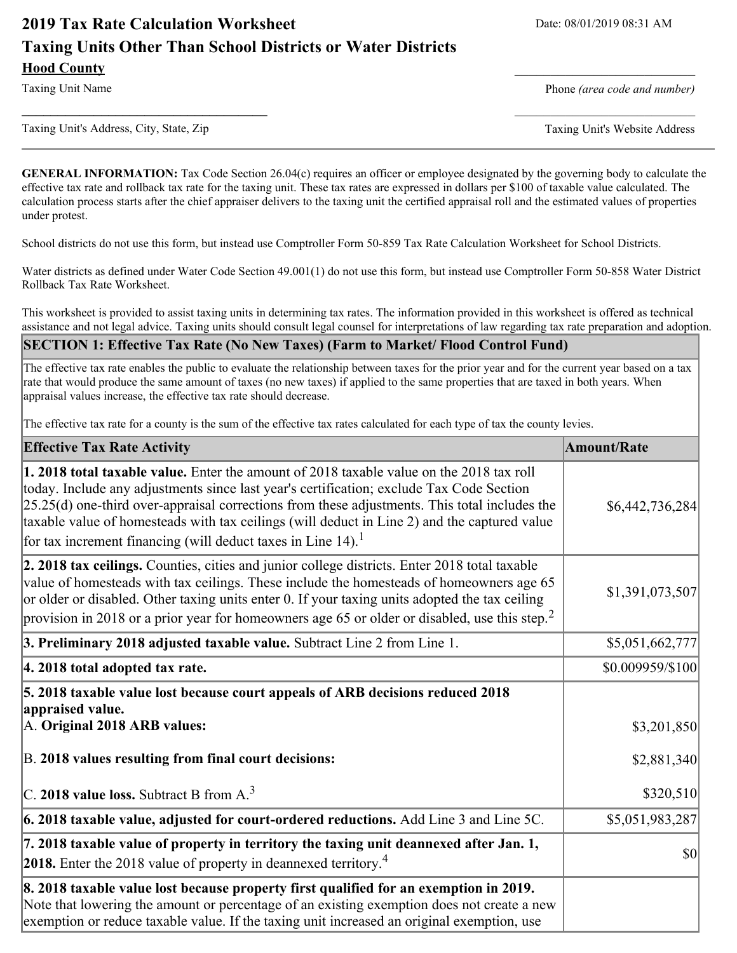# **2019 Tax Rate Calculation Worksheet** Date: 08/01/2019 08:31 AM **Taxing Units Other Than School Districts or Water Districts Hood County** \_\_\_\_\_\_\_\_\_\_\_\_\_\_\_\_\_\_\_\_\_\_\_\_\_

Taxing Unit Name **Phone** *(area code and number)* Phone *(area code and number)* 

Taxing Unit's Address, City, State, Zip Taxing Unit's Website Address

**\_\_\_\_\_\_\_\_\_\_\_\_\_\_\_\_\_\_\_\_\_\_\_\_\_\_\_\_\_\_\_\_\_\_** \_\_\_\_\_\_\_\_\_\_\_\_\_\_\_\_\_\_\_\_\_\_\_\_\_

**GENERAL INFORMATION:** Tax Code Section 26.04(c) requires an officer or employee designated by the governing body to calculate the effective tax rate and rollback tax rate for the taxing unit. These tax rates are expressed in dollars per \$100 of taxable value calculated. The calculation process starts after the chief appraiser delivers to the taxing unit the certified appraisal roll and the estimated values of properties under protest.

School districts do not use this form, but instead use Comptroller Form 50-859 Tax Rate Calculation Worksheet for School Districts.

Water districts as defined under Water Code Section 49.001(1) do not use this form, but instead use Comptroller Form 50-858 Water District Rollback Tax Rate Worksheet.

This worksheet is provided to assist taxing units in determining tax rates. The information provided in this worksheet is offered as technical assistance and not legal advice. Taxing units should consult legal counsel for interpretations of law regarding tax rate preparation and adoption.

#### **SECTION 1: Effective Tax Rate (No New Taxes) (Farm to Market/ Flood Control Fund)**

The effective tax rate enables the public to evaluate the relationship between taxes for the prior year and for the current year based on a tax rate that would produce the same amount of taxes (no new taxes) if applied to the same properties that are taxed in both years. When appraisal values increase, the effective tax rate should decrease.

The effective tax rate for a county is the sum of the effective tax rates calculated for each type of tax the county levies.

| <b>Effective Tax Rate Activity</b>                                                                                                                                                                                                                                                                                                                                                                                                                                      | <b>Amount/Rate</b> |
|-------------------------------------------------------------------------------------------------------------------------------------------------------------------------------------------------------------------------------------------------------------------------------------------------------------------------------------------------------------------------------------------------------------------------------------------------------------------------|--------------------|
| 1. 2018 total taxable value. Enter the amount of 2018 taxable value on the 2018 tax roll<br>today. Include any adjustments since last year's certification; exclude Tax Code Section<br>$[25.25(d)$ one-third over-appraisal corrections from these adjustments. This total includes the<br>taxable value of homesteads with tax ceilings (will deduct in Line 2) and the captured value<br>for tax increment financing (will deduct taxes in Line $14$ ). <sup>1</sup> | \$6,442,736,284    |
| 2. 2018 tax ceilings. Counties, cities and junior college districts. Enter 2018 total taxable<br>value of homesteads with tax ceilings. These include the homesteads of homeowners age 65<br>or older or disabled. Other taxing units enter 0. If your taxing units adopted the tax ceiling<br>provision in 2018 or a prior year for homeowners age 65 or older or disabled, use this step. <sup>2</sup>                                                                | \$1,391,073,507    |
| 3. Preliminary 2018 adjusted taxable value. Subtract Line 2 from Line 1.                                                                                                                                                                                                                                                                                                                                                                                                | \$5,051,662,777    |
| 4. 2018 total adopted tax rate.                                                                                                                                                                                                                                                                                                                                                                                                                                         | \$0.009959/\$100   |
| 5. 2018 taxable value lost because court appeals of ARB decisions reduced 2018<br>appraised value.<br>A. Original 2018 ARB values:                                                                                                                                                                                                                                                                                                                                      | \$3,201,850        |
| B. 2018 values resulting from final court decisions:                                                                                                                                                                                                                                                                                                                                                                                                                    | \$2,881,340        |
| $\vert$ C. 2018 value loss. Subtract B from A. <sup>3</sup>                                                                                                                                                                                                                                                                                                                                                                                                             | \$320,510          |
| $\vert$ 6. 2018 taxable value, adjusted for court-ordered reductions. Add Line 3 and Line 5C.                                                                                                                                                                                                                                                                                                                                                                           | \$5,051,983,287    |
| 7. 2018 taxable value of property in territory the taxing unit deannexed after Jan. 1,<br><b>2018.</b> Enter the 2018 value of property in deannexed territory. <sup>4</sup>                                                                                                                                                                                                                                                                                            | 30                 |
| 8. 2018 taxable value lost because property first qualified for an exemption in 2019.<br>Note that lowering the amount or percentage of an existing exemption does not create a new<br>exemption or reduce taxable value. If the taxing unit increased an original exemption, use                                                                                                                                                                                       |                    |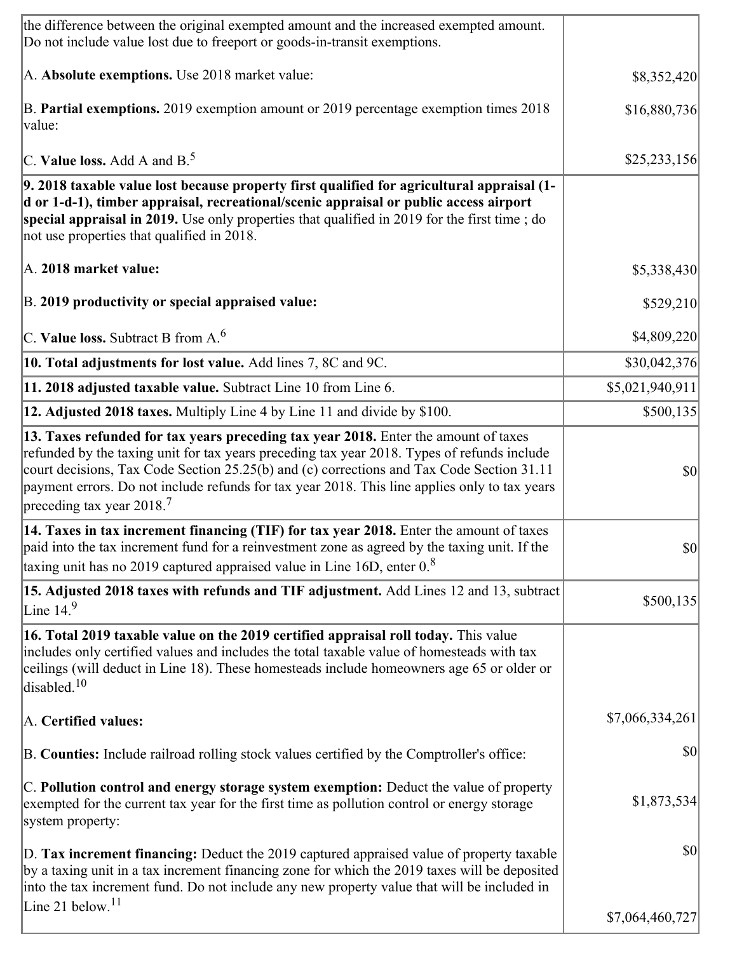| the difference between the original exempted amount and the increased exempted amount.<br>Do not include value lost due to freeport or goods-in-transit exemptions.                                                                                                                                                                                                                                                       |                  |
|---------------------------------------------------------------------------------------------------------------------------------------------------------------------------------------------------------------------------------------------------------------------------------------------------------------------------------------------------------------------------------------------------------------------------|------------------|
| A. Absolute exemptions. Use 2018 market value:                                                                                                                                                                                                                                                                                                                                                                            | \$8,352,420      |
| B. Partial exemptions. 2019 exemption amount or 2019 percentage exemption times 2018<br>value:                                                                                                                                                                                                                                                                                                                            | \$16,880,736     |
| C. Value loss. Add A and $B^5$ .                                                                                                                                                                                                                                                                                                                                                                                          | \$25,233,156     |
| 9. 2018 taxable value lost because property first qualified for agricultural appraisal (1-<br>d or 1-d-1), timber appraisal, recreational/scenic appraisal or public access airport<br>special appraisal in 2019. Use only properties that qualified in 2019 for the first time; do<br>not use properties that qualified in 2018.                                                                                         |                  |
| A. 2018 market value:                                                                                                                                                                                                                                                                                                                                                                                                     | \$5,338,430      |
| B. 2019 productivity or special appraised value:                                                                                                                                                                                                                                                                                                                                                                          | \$529,210        |
| C. Value loss. Subtract B from $A6$                                                                                                                                                                                                                                                                                                                                                                                       | \$4,809,220      |
| 10. Total adjustments for lost value. Add lines 7, 8C and 9C.                                                                                                                                                                                                                                                                                                                                                             | \$30,042,376     |
| 11. 2018 adjusted taxable value. Subtract Line 10 from Line 6.                                                                                                                                                                                                                                                                                                                                                            | \$5,021,940,911] |
| 12. Adjusted 2018 taxes. Multiply Line 4 by Line 11 and divide by \$100.                                                                                                                                                                                                                                                                                                                                                  | \$500,135        |
| 13. Taxes refunded for tax years preceding tax year 2018. Enter the amount of taxes<br>refunded by the taxing unit for tax years preceding tax year 2018. Types of refunds include<br>court decisions, Tax Code Section 25.25(b) and (c) corrections and Tax Code Section 31.11<br>payment errors. Do not include refunds for tax year 2018. This line applies only to tax years<br>preceding tax year 2018. <sup>7</sup> | 30               |
| 14. Taxes in tax increment financing (TIF) for tax year 2018. Enter the amount of taxes<br>paid into the tax increment fund for a reinvestment zone as agreed by the taxing unit. If the<br>taxing unit has no 2019 captured appraised value in Line 16D, enter $0.8$                                                                                                                                                     | $ 10\rangle$     |
| 15. Adjusted 2018 taxes with refunds and TIF adjustment. Add Lines 12 and 13, subtract<br>Line $14.9$                                                                                                                                                                                                                                                                                                                     | \$500,135        |
| 16. Total 2019 taxable value on the 2019 certified appraisal roll today. This value<br>includes only certified values and includes the total taxable value of homesteads with tax<br>ceilings (will deduct in Line 18). These homesteads include homeowners age 65 or older or<br>disabled. $10$                                                                                                                          |                  |
| A. Certified values:                                                                                                                                                                                                                                                                                                                                                                                                      | \$7,066,334,261  |
| B. Counties: Include railroad rolling stock values certified by the Comptroller's office:                                                                                                                                                                                                                                                                                                                                 | \$0              |
| C. Pollution control and energy storage system exemption: Deduct the value of property<br>exempted for the current tax year for the first time as pollution control or energy storage<br>system property:                                                                                                                                                                                                                 | \$1,873,534      |
| D. Tax increment financing: Deduct the 2019 captured appraised value of property taxable<br>by a taxing unit in a tax increment financing zone for which the 2019 taxes will be deposited<br>into the tax increment fund. Do not include any new property value that will be included in                                                                                                                                  | \$0              |
| Line 21 below. <sup>11</sup>                                                                                                                                                                                                                                                                                                                                                                                              | \$7,064,460,727  |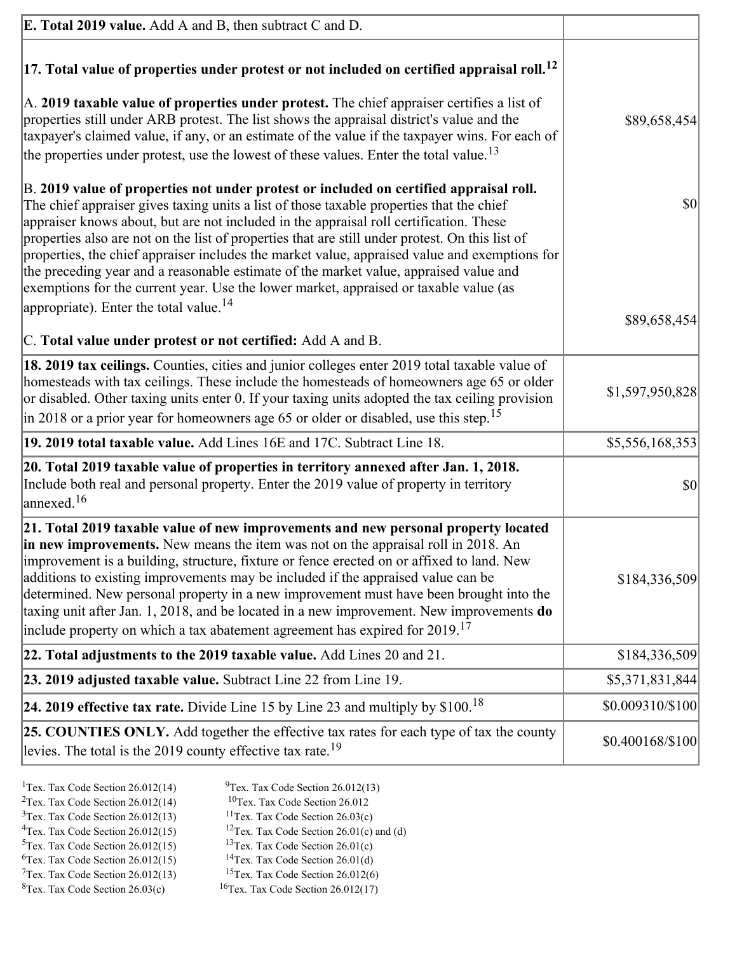| <b>E. Total 2019 value.</b> Add A and B, then subtract C and D.                                                                                                                                                                                                                                                                                                                                                                                                                                                                                                                                                                                                    |                  |
|--------------------------------------------------------------------------------------------------------------------------------------------------------------------------------------------------------------------------------------------------------------------------------------------------------------------------------------------------------------------------------------------------------------------------------------------------------------------------------------------------------------------------------------------------------------------------------------------------------------------------------------------------------------------|------------------|
| $ 17$ . Total value of properties under protest or not included on certified appraisal roll. <sup>12</sup>                                                                                                                                                                                                                                                                                                                                                                                                                                                                                                                                                         |                  |
| A. 2019 taxable value of properties under protest. The chief appraiser certifies a list of<br>properties still under ARB protest. The list shows the appraisal district's value and the<br>taxpayer's claimed value, if any, or an estimate of the value if the taxpayer wins. For each of<br>the properties under protest, use the lowest of these values. Enter the total value. <sup>13</sup>                                                                                                                                                                                                                                                                   | \$89,658,454     |
| B. 2019 value of properties not under protest or included on certified appraisal roll.<br>The chief appraiser gives taxing units a list of those taxable properties that the chief<br>appraiser knows about, but are not included in the appraisal roll certification. These<br>properties also are not on the list of properties that are still under protest. On this list of<br>properties, the chief appraiser includes the market value, appraised value and exemptions for<br>the preceding year and a reasonable estimate of the market value, appraised value and<br>exemptions for the current year. Use the lower market, appraised or taxable value (as | \$0              |
| appropriate). Enter the total value. <sup>14</sup>                                                                                                                                                                                                                                                                                                                                                                                                                                                                                                                                                                                                                 | \$89,658,454     |
| C. Total value under protest or not certified: Add A and B.                                                                                                                                                                                                                                                                                                                                                                                                                                                                                                                                                                                                        |                  |
| 18. 2019 tax ceilings. Counties, cities and junior colleges enter 2019 total taxable value of<br>homesteads with tax ceilings. These include the homesteads of homeowners age 65 or older<br>or disabled. Other taxing units enter 0. If your taxing units adopted the tax ceiling provision<br>in 2018 or a prior year for homeowners age 65 or older or disabled, use this step. <sup>15</sup>                                                                                                                                                                                                                                                                   | \$1,597,950,828  |
| 19. 2019 total taxable value. Add Lines 16E and 17C. Subtract Line 18.                                                                                                                                                                                                                                                                                                                                                                                                                                                                                                                                                                                             | \$5,556,168,353  |
| 20. Total 2019 taxable value of properties in territory annexed after Jan. 1, 2018.<br>Include both real and personal property. Enter the 2019 value of property in territory<br>$\frac{16}{2}$                                                                                                                                                                                                                                                                                                                                                                                                                                                                    | \$0              |
| 21. Total 2019 taxable value of new improvements and new personal property located<br>in new improvements. New means the item was not on the appraisal roll in 2018. An<br>improvement is a building, structure, fixture or fence erected on or affixed to land. New<br>additions to existing improvements may be included if the appraised value can be<br>determined. New personal property in a new improvement must have been brought into the<br>taxing unit after Jan. 1, 2018, and be located in a new improvement. New improvements do<br>include property on which a tax abatement agreement has expired for $2019$ . <sup>17</sup>                       | \$184,336,509    |
| 22. Total adjustments to the 2019 taxable value. Add Lines 20 and 21.                                                                                                                                                                                                                                                                                                                                                                                                                                                                                                                                                                                              | \$184,336,509    |
| 23. 2019 adjusted taxable value. Subtract Line 22 from Line 19.                                                                                                                                                                                                                                                                                                                                                                                                                                                                                                                                                                                                    | \$5,371,831,844  |
| 24. 2019 effective tax rate. Divide Line 15 by Line 23 and multiply by \$100. <sup>18</sup>                                                                                                                                                                                                                                                                                                                                                                                                                                                                                                                                                                        | \$0.009310/\$100 |
| 25. COUNTIES ONLY. Add together the effective tax rates for each type of tax the county<br>levies. The total is the 2019 county effective tax rate. <sup>19</sup>                                                                                                                                                                                                                                                                                                                                                                                                                                                                                                  | \$0.400168/\$100 |
|                                                                                                                                                                                                                                                                                                                                                                                                                                                                                                                                                                                                                                                                    |                  |

- <sup>1</sup>Tex. Tax Code Section 26.012(14) <sup>9</sup>Tex. Tax Code Section 26.012(13) <sup>9</sup>Tex. Tax Code Section 26.012 <sup>2</sup>Tex. Tax Code Section 26.012(14)<br><sup>3</sup>Tex. Tax Code Section 26.012(13)
	-
	-
- <sup>3</sup>Tex. Tax Code Section 26.012(13) <sup>11</sup>Tex. Tax Code Section 26.03(c) <sup>4</sup>Tex. Tax Code Section 26.01(c)
- <sup>4</sup>Tex. Tax Code Section 26.012(15) <sup>12</sup>Tex. Tax Code Section 26.01(c) and (d)<br><sup>5</sup>Tex. Tax Code Section 26.012(15) <sup>13</sup>Tex. Tax Code Section 26.01(c)
	- <sup>13</sup>Tex. Tax Code Section 26.01(c) <sup>14</sup>Tex. Tax Code Section 26.01(d)
- <sup>6</sup>Tex. Tax Code Section 26.012(15)<br><sup>7</sup>Tex. Tax Code Section 26.012(13)
- 
- 
- <sup>7</sup>Tex. Tax Code Section 26.012(13) <sup>15</sup>Tex. Tax Code Section 26.012(6)<br><sup>8</sup>Tex. Tax Code Section 26.03(c) <sup>16</sup>Tex. Tax Code Section 26.012(17)
	- $16$ Tex. Tax Code Section 26.012(17)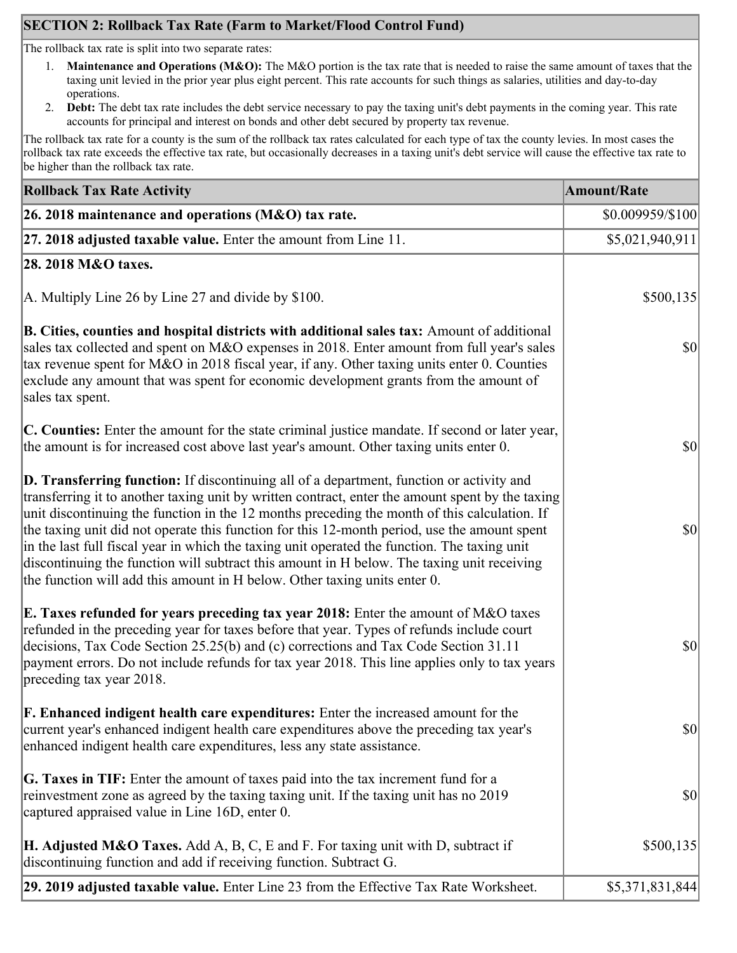## **SECTION 2: Rollback Tax Rate (Farm to Market/Flood Control Fund)**

The rollback tax rate is split into two separate rates:

- 1. **Maintenance and Operations (M&O):** The M&O portion is the tax rate that is needed to raise the same amount of taxes that the taxing unit levied in the prior year plus eight percent. This rate accounts for such things as salaries, utilities and day-to-day operations.
- 2. **Debt:** The debt tax rate includes the debt service necessary to pay the taxing unit's debt payments in the coming year. This rate accounts for principal and interest on bonds and other debt secured by property tax revenue.

The rollback tax rate for a county is the sum of the rollback tax rates calculated for each type of tax the county levies. In most cases the rollback tax rate exceeds the effective tax rate, but occasionally decreases in a taxing unit's debt service will cause the effective tax rate to be higher than the rollback tax rate.

| <b>Rollback Tax Rate Activity</b>                                                                                                                                                                                                                                                                                                                                                                                                                                                                                                                                                                                                                                              | <b>Amount/Rate</b> |
|--------------------------------------------------------------------------------------------------------------------------------------------------------------------------------------------------------------------------------------------------------------------------------------------------------------------------------------------------------------------------------------------------------------------------------------------------------------------------------------------------------------------------------------------------------------------------------------------------------------------------------------------------------------------------------|--------------------|
| 26. 2018 maintenance and operations ( $M&O$ ) tax rate.                                                                                                                                                                                                                                                                                                                                                                                                                                                                                                                                                                                                                        | \$0.009959/\$100   |
| $ 27.2018$ adjusted taxable value. Enter the amount from Line 11.                                                                                                                                                                                                                                                                                                                                                                                                                                                                                                                                                                                                              | \$5,021,940,911    |
| 28. 2018 M&O taxes.                                                                                                                                                                                                                                                                                                                                                                                                                                                                                                                                                                                                                                                            |                    |
| A. Multiply Line 26 by Line 27 and divide by $$100$ .                                                                                                                                                                                                                                                                                                                                                                                                                                                                                                                                                                                                                          | \$500,135          |
| B. Cities, counties and hospital districts with additional sales tax: Amount of additional<br>sales tax collected and spent on M&O expenses in 2018. Enter amount from full year's sales<br>tax revenue spent for M&O in 2018 fiscal year, if any. Other taxing units enter 0. Counties<br>exclude any amount that was spent for economic development grants from the amount of<br>sales tax spent.                                                                                                                                                                                                                                                                            | <b>\$0</b>         |
| C. Counties: Enter the amount for the state criminal justice mandate. If second or later year,<br>the amount is for increased cost above last year's amount. Other taxing units enter 0.                                                                                                                                                                                                                                                                                                                                                                                                                                                                                       | $ 10\rangle$       |
| <b>D. Transferring function:</b> If discontinuing all of a department, function or activity and<br>transferring it to another taxing unit by written contract, enter the amount spent by the taxing<br>unit discontinuing the function in the 12 months preceding the month of this calculation. If<br>the taxing unit did not operate this function for this 12-month period, use the amount spent<br>in the last full fiscal year in which the taxing unit operated the function. The taxing unit<br>discontinuing the function will subtract this amount in H below. The taxing unit receiving<br>the function will add this amount in H below. Other taxing units enter 0. | $ 10\rangle$       |
| E. Taxes refunded for years preceding tax year 2018: Enter the amount of M&O taxes<br>refunded in the preceding year for taxes before that year. Types of refunds include court<br>decisions, Tax Code Section 25.25(b) and (c) corrections and Tax Code Section 31.11<br>payment errors. Do not include refunds for tax year 2018. This line applies only to tax years<br>preceding tax year 2018.                                                                                                                                                                                                                                                                            | $ 10\rangle$       |
| <b>F. Enhanced indigent health care expenditures:</b> Enter the increased amount for the<br>current year's enhanced indigent health care expenditures above the preceding tax year's<br>enhanced indigent health care expenditures, less any state assistance.                                                                                                                                                                                                                                                                                                                                                                                                                 | <b>\$0</b>         |
| <b>G. Taxes in TIF:</b> Enter the amount of taxes paid into the tax increment fund for a<br>reinvestment zone as agreed by the taxing taxing unit. If the taxing unit has no 2019<br>captured appraised value in Line 16D, enter 0.                                                                                                                                                                                                                                                                                                                                                                                                                                            | $ 10\rangle$       |
| <b>H. Adjusted M&amp;O Taxes.</b> Add A, B, C, E and F. For taxing unit with D, subtract if<br>discontinuing function and add if receiving function. Subtract G.                                                                                                                                                                                                                                                                                                                                                                                                                                                                                                               | \$500,135          |
| 29. 2019 adjusted taxable value. Enter Line 23 from the Effective Tax Rate Worksheet.                                                                                                                                                                                                                                                                                                                                                                                                                                                                                                                                                                                          | \$5,371,831,844    |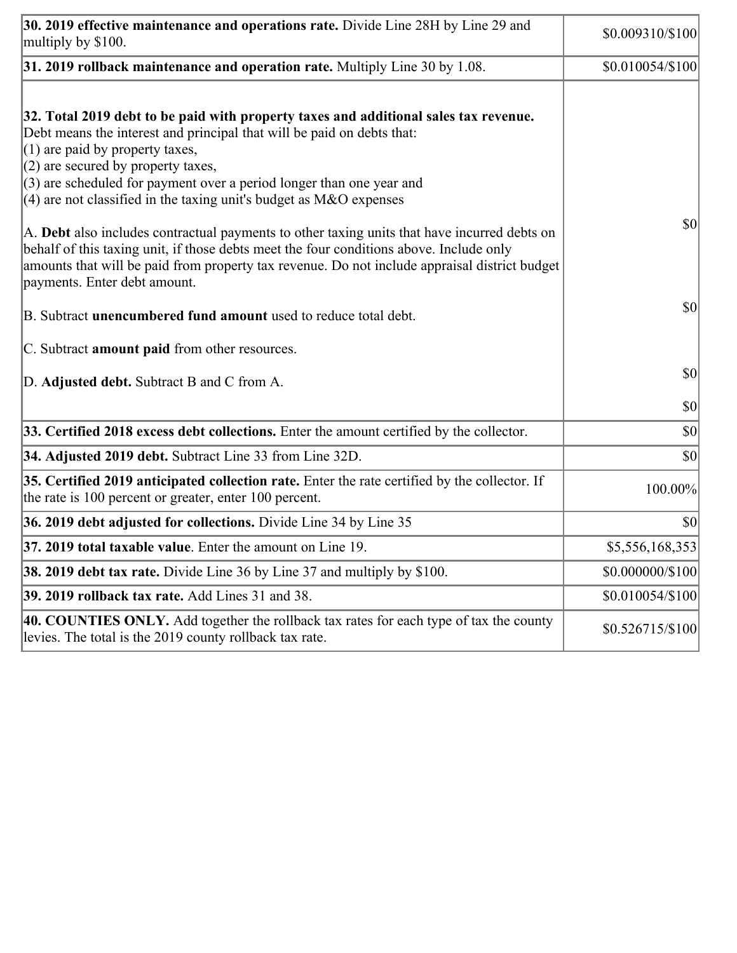| 30. 2019 effective maintenance and operations rate. Divide Line 28H by Line 29 and<br>multiply by \$100.                                                                                                                                                                                                                                                                                      | \$0.009310/\$100  |
|-----------------------------------------------------------------------------------------------------------------------------------------------------------------------------------------------------------------------------------------------------------------------------------------------------------------------------------------------------------------------------------------------|-------------------|
| $31.2019$ rollback maintenance and operation rate. Multiply Line 30 by 1.08.                                                                                                                                                                                                                                                                                                                  | \$0.010054/\$100  |
| 32. Total 2019 debt to be paid with property taxes and additional sales tax revenue.<br>Debt means the interest and principal that will be paid on debts that:<br>$(1)$ are paid by property taxes,<br>$(2)$ are secured by property taxes,<br>$(3)$ are scheduled for payment over a period longer than one year and<br>$(4)$ are not classified in the taxing unit's budget as M&O expenses |                   |
| A. Debt also includes contractual payments to other taxing units that have incurred debts on<br>behalf of this taxing unit, if those debts meet the four conditions above. Include only<br>amounts that will be paid from property tax revenue. Do not include appraisal district budget<br>payments. Enter debt amount.                                                                      | $ 10\rangle$      |
| B. Subtract <b>unencumbered fund amount</b> used to reduce total debt.                                                                                                                                                                                                                                                                                                                        | $ 10\rangle$      |
| C. Subtract <b>amount paid</b> from other resources.                                                                                                                                                                                                                                                                                                                                          |                   |
| D. Adjusted debt. Subtract B and C from A.                                                                                                                                                                                                                                                                                                                                                    | $ 10\rangle$      |
|                                                                                                                                                                                                                                                                                                                                                                                               | $ 10\rangle$      |
| 33. Certified 2018 excess debt collections. Enter the amount certified by the collector.                                                                                                                                                                                                                                                                                                      | $ 10\rangle$      |
| 34. Adjusted 2019 debt. Subtract Line 33 from Line 32D.                                                                                                                                                                                                                                                                                                                                       | \$0               |
| 35. Certified 2019 anticipated collection rate. Enter the rate certified by the collector. If<br>the rate is 100 percent or greater, enter 100 percent.                                                                                                                                                                                                                                       | 100.00%           |
| 36. 2019 debt adjusted for collections. Divide Line 34 by Line 35                                                                                                                                                                                                                                                                                                                             | $ 10\rangle$      |
| 37. 2019 total taxable value. Enter the amount on Line 19.                                                                                                                                                                                                                                                                                                                                    | \$5,556,168,353   |
| <b>38. 2019 debt tax rate.</b> Divide Line 36 by Line 37 and multiply by \$100.                                                                                                                                                                                                                                                                                                               | \$0.000000/\$100  |
| 39. 2019 rollback tax rate. Add Lines 31 and 38.                                                                                                                                                                                                                                                                                                                                              | \$0.010054/\$100  |
| 40. COUNTIES ONLY. Add together the rollback tax rates for each type of tax the county<br>levies. The total is the 2019 county rollback tax rate.                                                                                                                                                                                                                                             | $$0.526715/\$100$ |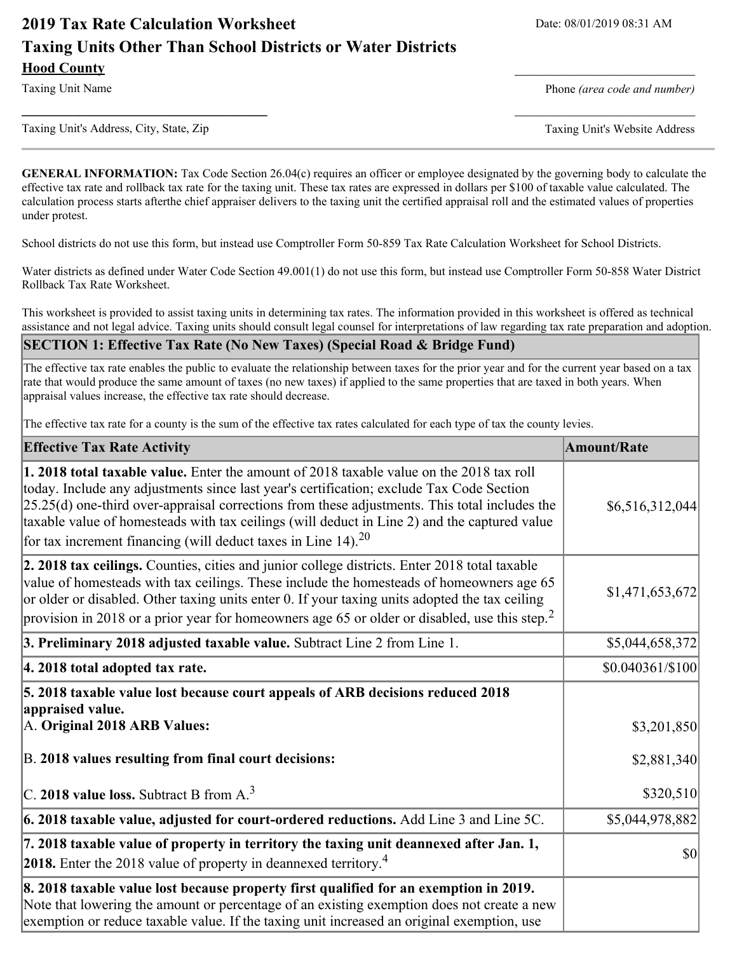# **2019 Tax Rate Calculation Worksheet** Date: 08/01/2019 08:31 AM **Taxing Units Other Than School Districts or Water Districts Hood County** \_\_\_\_\_\_\_\_\_\_\_\_\_\_\_\_\_\_\_\_\_\_\_\_\_

Taxing Unit Name **Phone** *(area code and number)* Phone *(area code and number)* 

Taxing Unit's Address, City, State, Zip Taxing Unit's Website Address

**\_\_\_\_\_\_\_\_\_\_\_\_\_\_\_\_\_\_\_\_\_\_\_\_\_\_\_\_\_\_\_\_\_\_** \_\_\_\_\_\_\_\_\_\_\_\_\_\_\_\_\_\_\_\_\_\_\_\_\_

**GENERAL INFORMATION:** Tax Code Section 26.04(c) requires an officer or employee designated by the governing body to calculate the effective tax rate and rollback tax rate for the taxing unit. These tax rates are expressed in dollars per \$100 of taxable value calculated. The calculation process starts afterthe chief appraiser delivers to the taxing unit the certified appraisal roll and the estimated values of properties under protest.

School districts do not use this form, but instead use Comptroller Form 50-859 Tax Rate Calculation Worksheet for School Districts.

Water districts as defined under Water Code Section 49.001(1) do not use this form, but instead use Comptroller Form 50-858 Water District Rollback Tax Rate Worksheet.

This worksheet is provided to assist taxing units in determining tax rates. The information provided in this worksheet is offered as technical assistance and not legal advice. Taxing units should consult legal counsel for interpretations of law regarding tax rate preparation and adoption.

**SECTION 1: Effective Tax Rate (No New Taxes) (Special Road & Bridge Fund)**

The effective tax rate enables the public to evaluate the relationship between taxes for the prior year and for the current year based on a tax rate that would produce the same amount of taxes (no new taxes) if applied to the same properties that are taxed in both years. When appraisal values increase, the effective tax rate should decrease.

The effective tax rate for a county is the sum of the effective tax rates calculated for each type of tax the county levies.

| <b>Effective Tax Rate Activity</b>                                                                                                                                                                                                                                                                                                                                                                                                                                     | <b>Amount/Rate</b>                  |
|------------------------------------------------------------------------------------------------------------------------------------------------------------------------------------------------------------------------------------------------------------------------------------------------------------------------------------------------------------------------------------------------------------------------------------------------------------------------|-------------------------------------|
| <b>1. 2018 total taxable value.</b> Enter the amount of 2018 taxable value on the 2018 tax roll<br>today. Include any adjustments since last year's certification; exclude Tax Code Section<br>$[25.25(d)$ one-third over-appraisal corrections from these adjustments. This total includes the<br>taxable value of homesteads with tax ceilings (will deduct in Line 2) and the captured value<br>for tax increment financing (will deduct taxes in Line 14). $^{20}$ | \$6,516,312,044                     |
| 2. 2018 tax ceilings. Counties, cities and junior college districts. Enter 2018 total taxable<br>value of homesteads with tax ceilings. These include the homesteads of homeowners age 65<br>or older or disabled. Other taxing units enter 0. If your taxing units adopted the tax ceiling<br>provision in 2018 or a prior year for homeowners age 65 or older or disabled, use this step. <sup>2</sup>                                                               | \$1,471,653,672                     |
| 3. Preliminary 2018 adjusted taxable value. Subtract Line 2 from Line 1.                                                                                                                                                                                                                                                                                                                                                                                               | \$5,044,658,372                     |
| 4. 2018 total adopted tax rate.                                                                                                                                                                                                                                                                                                                                                                                                                                        | $$0.040361/\$100$                   |
| 5. 2018 taxable value lost because court appeals of ARB decisions reduced 2018<br>appraised value.<br>A. Original 2018 ARB Values:                                                                                                                                                                                                                                                                                                                                     | \$3,201,850                         |
| B. 2018 values resulting from final court decisions:                                                                                                                                                                                                                                                                                                                                                                                                                   | \$2,881,340                         |
| C. 2018 value loss. Subtract B from A. <sup>3</sup>                                                                                                                                                                                                                                                                                                                                                                                                                    | \$320,510                           |
| 6. 2018 taxable value, adjusted for court-ordered reductions. Add Line 3 and Line 5C.                                                                                                                                                                                                                                                                                                                                                                                  | \$5,044,978,882                     |
| 7. 2018 taxable value of property in territory the taxing unit deannexed after Jan. 1,<br><b>2018.</b> Enter the 2018 value of property in deannexed territory. <sup>4</sup>                                                                                                                                                                                                                                                                                           | $\vert \mathbf{S} \mathbf{0} \vert$ |
| 8. 2018 taxable value lost because property first qualified for an exemption in 2019.<br>Note that lowering the amount or percentage of an existing exemption does not create a new<br>exemption or reduce taxable value. If the taxing unit increased an original exemption, use                                                                                                                                                                                      |                                     |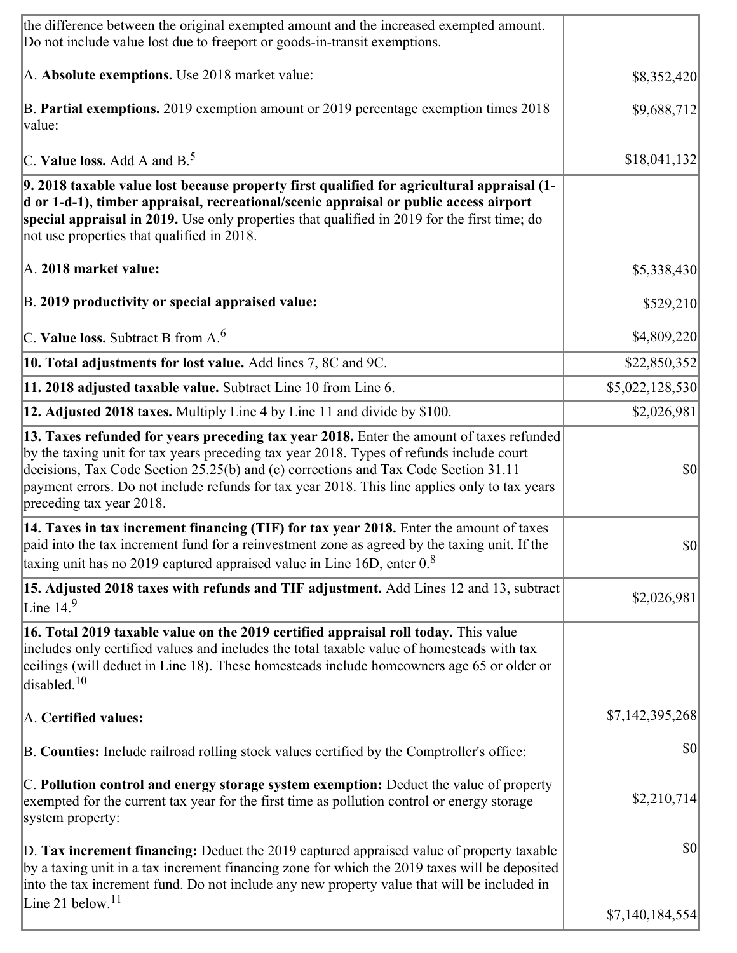| the difference between the original exempted amount and the increased exempted amount.<br>Do not include value lost due to freeport or goods-in-transit exemptions.                                                                                                                                                                                                                                      |                 |
|----------------------------------------------------------------------------------------------------------------------------------------------------------------------------------------------------------------------------------------------------------------------------------------------------------------------------------------------------------------------------------------------------------|-----------------|
| A. Absolute exemptions. Use 2018 market value:                                                                                                                                                                                                                                                                                                                                                           | \$8,352,420     |
| B. Partial exemptions. 2019 exemption amount or 2019 percentage exemption times 2018<br>value:                                                                                                                                                                                                                                                                                                           | \$9,688,712     |
| C. Value loss. Add A and $B^5$ .                                                                                                                                                                                                                                                                                                                                                                         | \$18,041,132    |
| 9. 2018 taxable value lost because property first qualified for agricultural appraisal (1-<br>d or 1-d-1), timber appraisal, recreational/scenic appraisal or public access airport<br>special appraisal in 2019. Use only properties that qualified in 2019 for the first time; do<br>not use properties that qualified in 2018.                                                                        |                 |
| A. 2018 market value:                                                                                                                                                                                                                                                                                                                                                                                    | \$5,338,430     |
| B. 2019 productivity or special appraised value:                                                                                                                                                                                                                                                                                                                                                         | \$529,210       |
| C. Value loss. Subtract B from $A6$                                                                                                                                                                                                                                                                                                                                                                      | \$4,809,220     |
| 10. Total adjustments for lost value. Add lines 7, 8C and 9C.                                                                                                                                                                                                                                                                                                                                            | \$22,850,352    |
| 11. 2018 adjusted taxable value. Subtract Line 10 from Line 6.                                                                                                                                                                                                                                                                                                                                           | \$5,022,128,530 |
| 12. Adjusted 2018 taxes. Multiply Line 4 by Line 11 and divide by \$100.                                                                                                                                                                                                                                                                                                                                 | \$2,026,981     |
| 13. Taxes refunded for years preceding tax year 2018. Enter the amount of taxes refunded<br>by the taxing unit for tax years preceding tax year 2018. Types of refunds include court<br>decisions, Tax Code Section 25.25(b) and (c) corrections and Tax Code Section 31.11<br>payment errors. Do not include refunds for tax year 2018. This line applies only to tax years<br>preceding tax year 2018. | $ 10\rangle$    |
| 14. Taxes in tax increment financing (TIF) for tax year 2018. Enter the amount of taxes<br>paid into the tax increment fund for a reinvestment zone as agreed by the taxing unit. If the<br>taxing unit has no 2019 captured appraised value in Line 16D, enter $08$                                                                                                                                     | $ 10\rangle$    |
| [15. Adjusted 2018 taxes with refunds and TIF adjustment. Add Lines 12 and 13, subtract<br>Line $14.9$                                                                                                                                                                                                                                                                                                   | \$2,026,981     |
| 16. Total 2019 taxable value on the 2019 certified appraisal roll today. This value<br>includes only certified values and includes the total taxable value of homesteads with tax<br>ceilings (will deduct in Line 18). These homesteads include homeowners age 65 or older or<br>disabled. <sup>10</sup>                                                                                                |                 |
| A. Certified values:                                                                                                                                                                                                                                                                                                                                                                                     | \$7,142,395,268 |
| B. Counties: Include railroad rolling stock values certified by the Comptroller's office:                                                                                                                                                                                                                                                                                                                | \$0             |
| C. Pollution control and energy storage system exemption: Deduct the value of property<br>exempted for the current tax year for the first time as pollution control or energy storage<br>system property:                                                                                                                                                                                                | \$2,210,714     |
| D. Tax increment financing: Deduct the 2019 captured appraised value of property taxable<br>by a taxing unit in a tax increment financing zone for which the 2019 taxes will be deposited<br>into the tax increment fund. Do not include any new property value that will be included in                                                                                                                 | $ 10\rangle$    |
| Line 21 below. $11$                                                                                                                                                                                                                                                                                                                                                                                      | \$7,140,184,554 |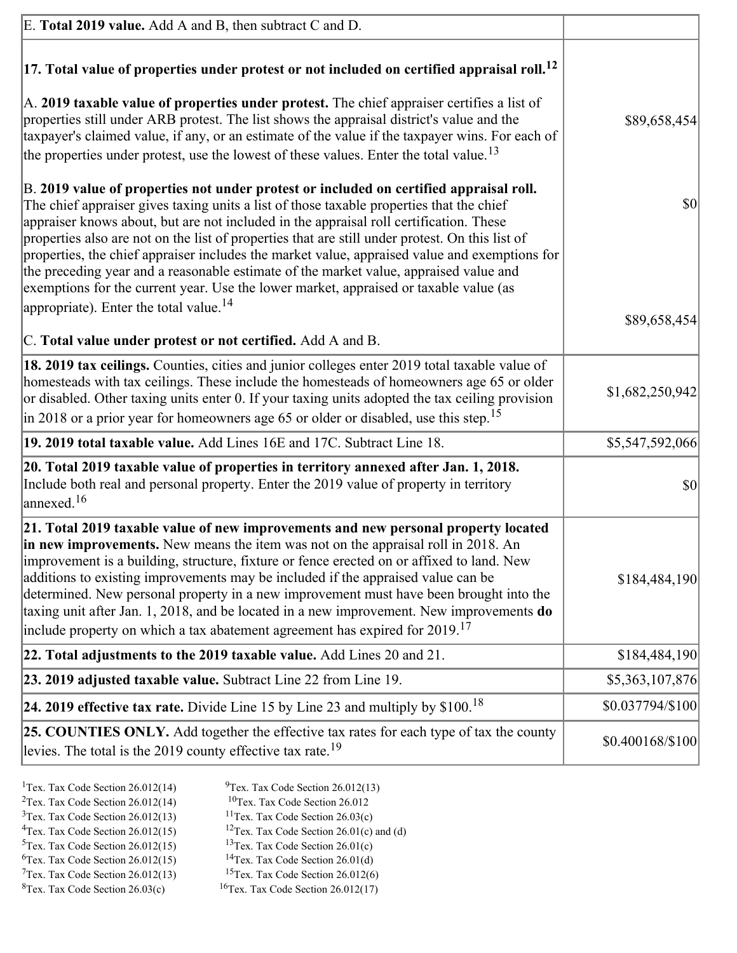| E. Total 2019 value. Add A and B, then subtract C and D.                                                                                                                                                                                                                                                                                                                                                                                                                                                                                                                                                                                                           |                  |
|--------------------------------------------------------------------------------------------------------------------------------------------------------------------------------------------------------------------------------------------------------------------------------------------------------------------------------------------------------------------------------------------------------------------------------------------------------------------------------------------------------------------------------------------------------------------------------------------------------------------------------------------------------------------|------------------|
| $ 17$ . Total value of properties under protest or not included on certified appraisal roll. <sup>12</sup>                                                                                                                                                                                                                                                                                                                                                                                                                                                                                                                                                         |                  |
| A. 2019 taxable value of properties under protest. The chief appraiser certifies a list of<br>properties still under ARB protest. The list shows the appraisal district's value and the<br>taxpayer's claimed value, if any, or an estimate of the value if the taxpayer wins. For each of<br>the properties under protest, use the lowest of these values. Enter the total value. <sup>13</sup>                                                                                                                                                                                                                                                                   | \$89,658,454     |
| B. 2019 value of properties not under protest or included on certified appraisal roll.<br>The chief appraiser gives taxing units a list of those taxable properties that the chief<br>appraiser knows about, but are not included in the appraisal roll certification. These<br>properties also are not on the list of properties that are still under protest. On this list of<br>properties, the chief appraiser includes the market value, appraised value and exemptions for<br>the preceding year and a reasonable estimate of the market value, appraised value and<br>exemptions for the current year. Use the lower market, appraised or taxable value (as | \$0              |
| appropriate). Enter the total value. <sup>14</sup>                                                                                                                                                                                                                                                                                                                                                                                                                                                                                                                                                                                                                 | \$89,658,454     |
| C. Total value under protest or not certified. Add A and B.                                                                                                                                                                                                                                                                                                                                                                                                                                                                                                                                                                                                        |                  |
| 18. 2019 tax ceilings. Counties, cities and junior colleges enter 2019 total taxable value of<br>homesteads with tax ceilings. These include the homesteads of homeowners age 65 or older<br>or disabled. Other taxing units enter 0. If your taxing units adopted the tax ceiling provision<br>in 2018 or a prior year for homeowners age 65 or older or disabled, use this step. <sup>15</sup>                                                                                                                                                                                                                                                                   | \$1,682,250,942  |
| 19. 2019 total taxable value. Add Lines 16E and 17C. Subtract Line 18.                                                                                                                                                                                                                                                                                                                                                                                                                                                                                                                                                                                             | \$5,547,592,066  |
| 20. Total 2019 taxable value of properties in territory annexed after Jan. 1, 2018.<br>Include both real and personal property. Enter the 2019 value of property in territory<br>$\frac{16}{2}$                                                                                                                                                                                                                                                                                                                                                                                                                                                                    | \$0              |
| 21. Total 2019 taxable value of new improvements and new personal property located<br>in new improvements. New means the item was not on the appraisal roll in 2018. An<br>improvement is a building, structure, fixture or fence erected on or affixed to land. New<br>additions to existing improvements may be included if the appraised value can be<br>determined. New personal property in a new improvement must have been brought into the<br>taxing unit after Jan. 1, 2018, and be located in a new improvement. New improvements do<br>include property on which a tax abatement agreement has expired for $2019$ . <sup>17</sup>                       | \$184,484,190    |
| 22. Total adjustments to the 2019 taxable value. Add Lines 20 and 21.                                                                                                                                                                                                                                                                                                                                                                                                                                                                                                                                                                                              | \$184,484,190    |
| 23. 2019 adjusted taxable value. Subtract Line 22 from Line 19.                                                                                                                                                                                                                                                                                                                                                                                                                                                                                                                                                                                                    | \$5,363,107,876  |
| <b>24. 2019 effective tax rate.</b> Divide Line 15 by Line 23 and multiply by $$100$ . <sup>18</sup>                                                                                                                                                                                                                                                                                                                                                                                                                                                                                                                                                               | \$0.037794/\$100 |
| <b>25. COUNTIES ONLY.</b> Add together the effective tax rates for each type of tax the county<br>levies. The total is the 2019 county effective tax rate. <sup>19</sup>                                                                                                                                                                                                                                                                                                                                                                                                                                                                                           | \$0.400168/\$100 |
|                                                                                                                                                                                                                                                                                                                                                                                                                                                                                                                                                                                                                                                                    |                  |

- <sup>1</sup>Tex. Tax Code Section 26.012(14) <sup>9</sup>Tex. Tax Code Section 26.012(13) <sup>9</sup>Tex. Tax Code Section 26.012 <sup>2</sup>Tex. Tax Code Section 26.012(14)<br><sup>3</sup>Tex. Tax Code Section 26.012(13)
	-
	-
- <sup>3</sup>Tex. Tax Code Section 26.012(13) <sup>11</sup>Tex. Tax Code Section 26.03(c) <sup>4</sup>Tex. Tax Code Section 26.01(c)
- <sup>4</sup>Tex. Tax Code Section 26.012(15) <sup>12</sup>Tex. Tax Code Section 26.01(c) and (d)<br><sup>5</sup>Tex. Tax Code Section 26.012(15) <sup>13</sup>Tex. Tax Code Section 26.01(c)
	-
- <sup>6</sup>Tex. Tax Code Section 26.012(15)<br><sup>7</sup>Tex. Tax Code Section 26.012(13)
- 
- 
- <sup>13</sup>Tex. Tax Code Section 26.01(c) <sup>14</sup>Tex. Tax Code Section 26.01(d)
- 
- <sup>7</sup>Tex. Tax Code Section 26.012(13) <sup>15</sup>Tex. Tax Code Section 26.012(6)<br><sup>8</sup>Tex. Tax Code Section 26.03(c) <sup>16</sup>Tex. Tax Code Section 26.012(17)
	- $16$ Tex. Tax Code Section 26.012(17)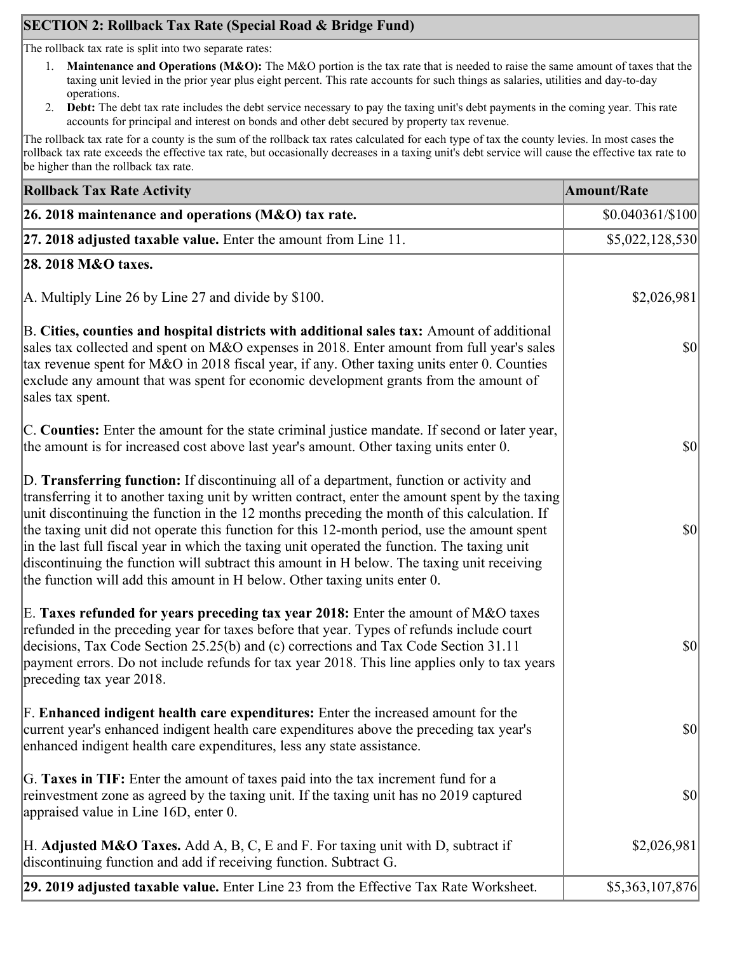## **SECTION 2: Rollback Tax Rate (Special Road & Bridge Fund)**

The rollback tax rate is split into two separate rates:

- 1. **Maintenance and Operations (M&O):** The M&O portion is the tax rate that is needed to raise the same amount of taxes that the taxing unit levied in the prior year plus eight percent. This rate accounts for such things as salaries, utilities and day-to-day operations.
- 2. **Debt:** The debt tax rate includes the debt service necessary to pay the taxing unit's debt payments in the coming year. This rate accounts for principal and interest on bonds and other debt secured by property tax revenue.

The rollback tax rate for a county is the sum of the rollback tax rates calculated for each type of tax the county levies. In most cases the rollback tax rate exceeds the effective tax rate, but occasionally decreases in a taxing unit's debt service will cause the effective tax rate to be higher than the rollback tax rate.

| <b>Rollback Tax Rate Activity</b>                                                                                                                                                                                                                                                                                                                                                                                                                                                                                                                                                                                                                                       | <b>Amount/Rate</b> |
|-------------------------------------------------------------------------------------------------------------------------------------------------------------------------------------------------------------------------------------------------------------------------------------------------------------------------------------------------------------------------------------------------------------------------------------------------------------------------------------------------------------------------------------------------------------------------------------------------------------------------------------------------------------------------|--------------------|
| 26. 2018 maintenance and operations ( $M&O$ ) tax rate.                                                                                                                                                                                                                                                                                                                                                                                                                                                                                                                                                                                                                 | $$0.040361/\$100$  |
| 27. 2018 adjusted taxable value. Enter the amount from Line 11.                                                                                                                                                                                                                                                                                                                                                                                                                                                                                                                                                                                                         | \$5,022,128,530    |
| 28. 2018 M&O taxes.                                                                                                                                                                                                                                                                                                                                                                                                                                                                                                                                                                                                                                                     |                    |
| A. Multiply Line 26 by Line 27 and divide by $$100$ .                                                                                                                                                                                                                                                                                                                                                                                                                                                                                                                                                                                                                   | \$2,026,981        |
| B. Cities, counties and hospital districts with additional sales tax: Amount of additional<br>sales tax collected and spent on M&O expenses in 2018. Enter amount from full year's sales<br>tax revenue spent for M&O in 2018 fiscal year, if any. Other taxing units enter 0. Counties<br>exclude any amount that was spent for economic development grants from the amount of<br>sales tax spent.                                                                                                                                                                                                                                                                     | $ 10\rangle$       |
| C. Counties: Enter the amount for the state criminal justice mandate. If second or later year,<br>the amount is for increased cost above last year's amount. Other taxing units enter 0.                                                                                                                                                                                                                                                                                                                                                                                                                                                                                | $ 10\rangle$       |
| D. Transferring function: If discontinuing all of a department, function or activity and<br>transferring it to another taxing unit by written contract, enter the amount spent by the taxing<br>unit discontinuing the function in the 12 months preceding the month of this calculation. If<br>the taxing unit did not operate this function for this 12-month period, use the amount spent<br>in the last full fiscal year in which the taxing unit operated the function. The taxing unit<br>discontinuing the function will subtract this amount in H below. The taxing unit receiving<br>the function will add this amount in H below. Other taxing units enter 0. | $ 10\rangle$       |
| E. Taxes refunded for years preceding tax year 2018: Enter the amount of M&O taxes<br>refunded in the preceding year for taxes before that year. Types of refunds include court<br>decisions, Tax Code Section 25.25(b) and (c) corrections and Tax Code Section 31.11<br>payment errors. Do not include refunds for tax year 2018. This line applies only to tax years<br>preceding tax year 2018.                                                                                                                                                                                                                                                                     | $ 10\rangle$       |
| F. Enhanced indigent health care expenditures: Enter the increased amount for the<br>current year's enhanced indigent health care expenditures above the preceding tax year's<br>enhanced indigent health care expenditures, less any state assistance.                                                                                                                                                                                                                                                                                                                                                                                                                 | $ 10\rangle$       |
| G. Taxes in TIF: Enter the amount of taxes paid into the tax increment fund for a<br>reinvestment zone as agreed by the taxing unit. If the taxing unit has no 2019 captured<br>appraised value in Line 16D, enter 0.                                                                                                                                                                                                                                                                                                                                                                                                                                                   | $ 10\rangle$       |
| H. Adjusted M&O Taxes. Add A, B, C, E and F. For taxing unit with D, subtract if<br>discontinuing function and add if receiving function. Subtract G.                                                                                                                                                                                                                                                                                                                                                                                                                                                                                                                   | \$2,026,981        |
| 29. 2019 adjusted taxable value. Enter Line 23 from the Effective Tax Rate Worksheet.                                                                                                                                                                                                                                                                                                                                                                                                                                                                                                                                                                                   | \$5,363,107,876    |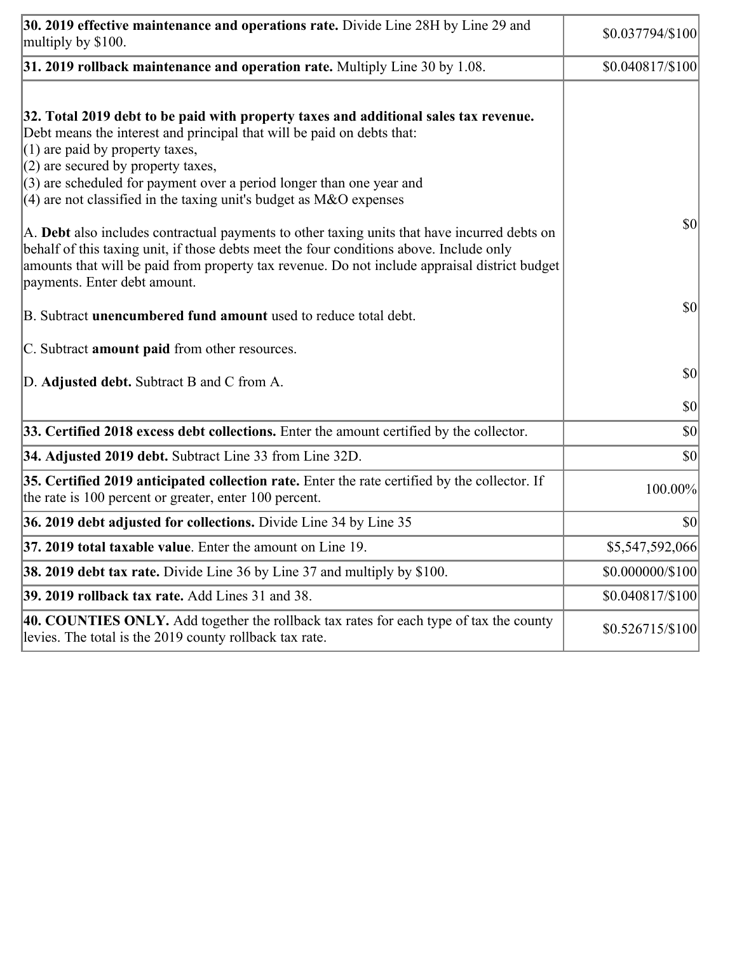| 30. 2019 effective maintenance and operations rate. Divide Line 28H by Line 29 and<br>multiply by \$100.                                                                                                                                                                                                                                                                                      | \$0.037794/\$100  |
|-----------------------------------------------------------------------------------------------------------------------------------------------------------------------------------------------------------------------------------------------------------------------------------------------------------------------------------------------------------------------------------------------|-------------------|
| $31.2019$ rollback maintenance and operation rate. Multiply Line 30 by 1.08.                                                                                                                                                                                                                                                                                                                  | \$0.040817/\$100  |
| 32. Total 2019 debt to be paid with property taxes and additional sales tax revenue.<br>Debt means the interest and principal that will be paid on debts that:<br>$(1)$ are paid by property taxes,<br>$(2)$ are secured by property taxes,<br>$(3)$ are scheduled for payment over a period longer than one year and<br>$(4)$ are not classified in the taxing unit's budget as M&O expenses |                   |
| A. Debt also includes contractual payments to other taxing units that have incurred debts on<br>behalf of this taxing unit, if those debts meet the four conditions above. Include only<br>amounts that will be paid from property tax revenue. Do not include appraisal district budget<br>payments. Enter debt amount.                                                                      | $ 10\rangle$      |
| B. Subtract <b>unencumbered fund amount</b> used to reduce total debt.                                                                                                                                                                                                                                                                                                                        | $ 10\rangle$      |
| C. Subtract <b>amount paid</b> from other resources.                                                                                                                                                                                                                                                                                                                                          |                   |
| D. Adjusted debt. Subtract B and C from A.                                                                                                                                                                                                                                                                                                                                                    | $ 10\rangle$      |
|                                                                                                                                                                                                                                                                                                                                                                                               | $ 10\rangle$      |
| 33. Certified 2018 excess debt collections. Enter the amount certified by the collector.                                                                                                                                                                                                                                                                                                      | $ 10\rangle$      |
| 34. Adjusted 2019 debt. Subtract Line 33 from Line 32D.                                                                                                                                                                                                                                                                                                                                       | \$0               |
| 35. Certified 2019 anticipated collection rate. Enter the rate certified by the collector. If<br>the rate is 100 percent or greater, enter 100 percent.                                                                                                                                                                                                                                       | 100.00%           |
| 36. 2019 debt adjusted for collections. Divide Line 34 by Line 35                                                                                                                                                                                                                                                                                                                             | $ 10\rangle$      |
| 37. 2019 total taxable value. Enter the amount on Line 19.                                                                                                                                                                                                                                                                                                                                    | \$5,547,592,066   |
| <b>38. 2019 debt tax rate.</b> Divide Line 36 by Line 37 and multiply by \$100.                                                                                                                                                                                                                                                                                                               | \$0.000000/\$100  |
| 39. 2019 rollback tax rate. Add Lines 31 and 38.                                                                                                                                                                                                                                                                                                                                              | \$0.040817/\$100  |
| 40. COUNTIES ONLY. Add together the rollback tax rates for each type of tax the county<br>levies. The total is the 2019 county rollback tax rate.                                                                                                                                                                                                                                             | $$0.526715/\$100$ |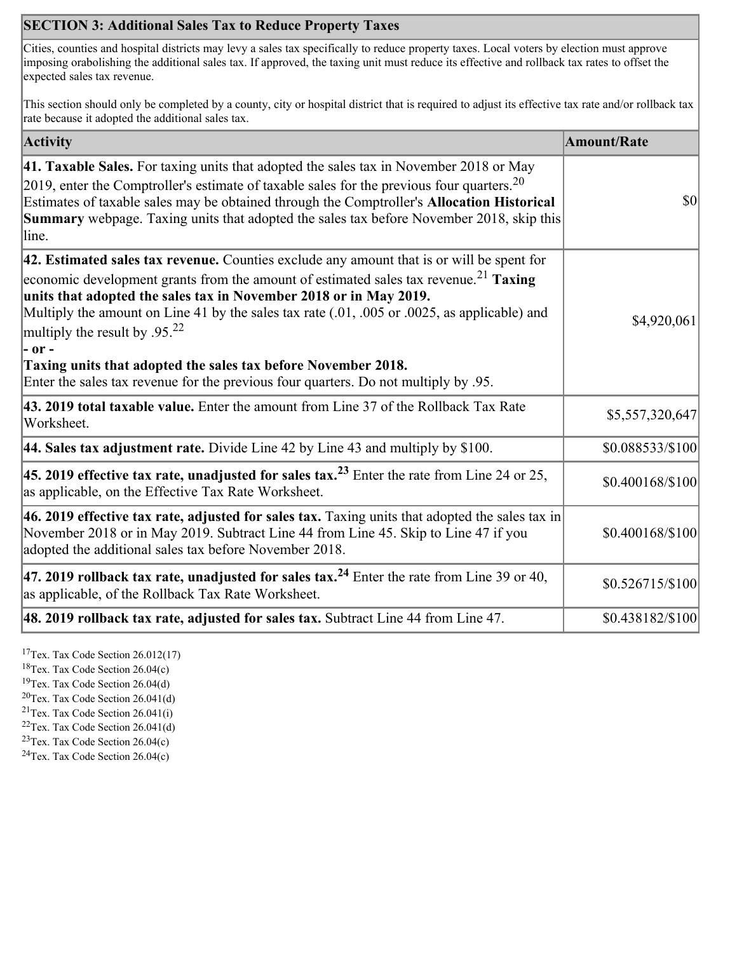## **SECTION 3: Additional Sales Tax to Reduce Property Taxes**

Cities, counties and hospital districts may levy a sales tax specifically to reduce property taxes. Local voters by election must approve imposing orabolishing the additional sales tax. If approved, the taxing unit must reduce its effective and rollback tax rates to offset the expected sales tax revenue.

This section should only be completed by a county, city or hospital district that is required to adjust its effective tax rate and/or rollback tax rate because it adopted the additional sales tax.

| <b>Activity</b>                                                                                                                                                                                                                                                                                                                                                                                                            | <b>Amount/Rate</b> |
|----------------------------------------------------------------------------------------------------------------------------------------------------------------------------------------------------------------------------------------------------------------------------------------------------------------------------------------------------------------------------------------------------------------------------|--------------------|
| 41. Taxable Sales. For taxing units that adopted the sales tax in November 2018 or May<br>[2019, enter the Comptroller's estimate of taxable sales for the previous four quarters. <sup>20</sup><br>Estimates of taxable sales may be obtained through the Comptroller's Allocation Historical<br><b>Summary</b> webpage. Taxing units that adopted the sales tax before November 2018, skip this<br>line.                 | 30                 |
| $ 42$ . Estimated sales tax revenue. Counties exclude any amount that is or will be spent for<br>economic development grants from the amount of estimated sales tax revenue. <sup>21</sup> Taxing<br>units that adopted the sales tax in November 2018 or in May 2019.<br>Multiply the amount on Line 41 by the sales tax rate (.01, .005 or .0025, as applicable) and<br>multiply the result by $.95^{22}$<br>$ -$ or $-$ | \$4,920,061        |
| Taxing units that adopted the sales tax before November 2018.<br>Enter the sales tax revenue for the previous four quarters. Do not multiply by .95.                                                                                                                                                                                                                                                                       |                    |
| 43. 2019 total taxable value. Enter the amount from Line 37 of the Rollback Tax Rate<br>Worksheet.                                                                                                                                                                                                                                                                                                                         | \$5,557,320,647    |
| <b>44. Sales tax adjustment rate.</b> Divide Line 42 by Line 43 and multiply by $$100$ .                                                                                                                                                                                                                                                                                                                                   | \$0.088533/\$100   |
| 45. 2019 effective tax rate, unadjusted for sales tax. <sup>23</sup> Enter the rate from Line 24 or 25,<br>as applicable, on the Effective Tax Rate Worksheet.                                                                                                                                                                                                                                                             | \$0.400168/\$100   |
| 46. 2019 effective tax rate, adjusted for sales tax. Taxing units that adopted the sales tax in<br>November 2018 or in May 2019. Subtract Line 44 from Line 45. Skip to Line 47 if you<br>adopted the additional sales tax before November 2018.                                                                                                                                                                           | \$0.400168/\$100   |
| 47. 2019 rollback tax rate, unadjusted for sales tax. <sup>24</sup> Enter the rate from Line 39 or 40,<br>as applicable, of the Rollback Tax Rate Worksheet.                                                                                                                                                                                                                                                               | \$0.526715/\$100   |
| $ 48.2019$ rollback tax rate, adjusted for sales tax. Subtract Line 44 from Line 47.                                                                                                                                                                                                                                                                                                                                       | \$0.438182/\$100   |

<sup>17</sup>Tex. Tax Code Section 26.012(17)

<sup>18</sup>Tex. Tax Code Section 26.04(c)

<sup>19</sup>Tex. Tax Code Section 26.04(d)

 $20$ Tex. Tax Code Section 26.041(d)

<sup>21</sup>Tex. Tax Code Section  $26.041(i)$ 

 $22$ Tex. Tax Code Section 26.041(d)

 $23$ Tex. Tax Code Section 26.04(c)  $24$ Tex. Tax Code Section 26.04(c)